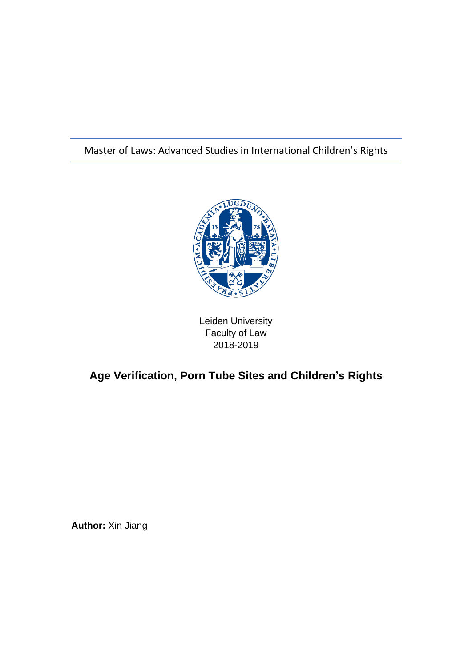# Master of Laws: Advanced Studies in International Children's Rights



Leiden University Faculty of Law 2018-2019

# **Age Verification, Porn Tube Sites and Children's Rights**

**Author:** Xin Jiang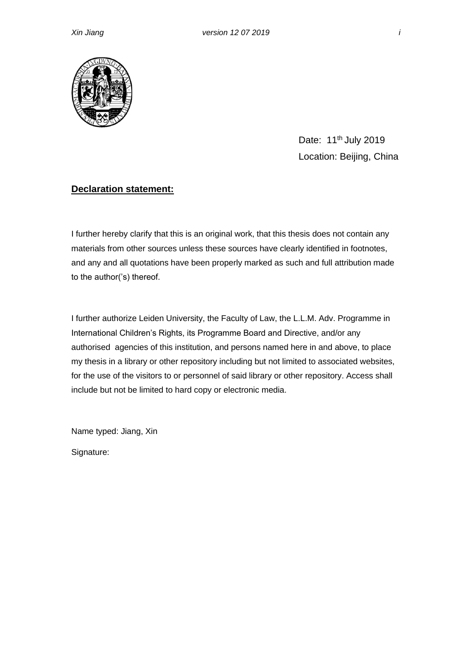

Date: 11<sup>th</sup> July 2019 Location: Beijing, China

## **Declaration statement:**

I further hereby clarify that this is an original work, that this thesis does not contain any materials from other sources unless these sources have clearly identified in footnotes, and any and all quotations have been properly marked as such and full attribution made to the author('s) thereof.

I further authorize Leiden University, the Faculty of Law, the L.L.M. Adv. Programme in International Children's Rights, its Programme Board and Directive, and/or any authorised agencies of this institution, and persons named here in and above, to place my thesis in a library or other repository including but not limited to associated websites, for the use of the visitors to or personnel of said library or other repository. Access shall include but not be limited to hard copy or electronic media.

Name typed: Jiang, Xin

Signature: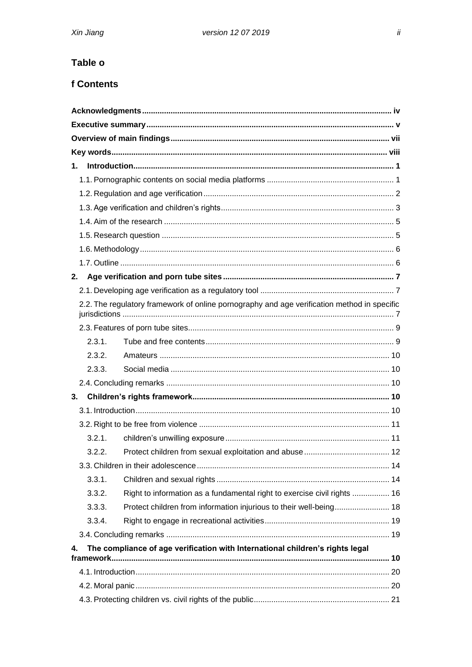# Table o

## **f Contents**

| $1_{-}$                                                                             |                                                                                             |  |  |  |  |
|-------------------------------------------------------------------------------------|---------------------------------------------------------------------------------------------|--|--|--|--|
|                                                                                     |                                                                                             |  |  |  |  |
|                                                                                     |                                                                                             |  |  |  |  |
|                                                                                     |                                                                                             |  |  |  |  |
|                                                                                     |                                                                                             |  |  |  |  |
|                                                                                     |                                                                                             |  |  |  |  |
|                                                                                     |                                                                                             |  |  |  |  |
|                                                                                     |                                                                                             |  |  |  |  |
| 2.                                                                                  |                                                                                             |  |  |  |  |
|                                                                                     |                                                                                             |  |  |  |  |
|                                                                                     | 2.2. The regulatory framework of online pornography and age verification method in specific |  |  |  |  |
|                                                                                     |                                                                                             |  |  |  |  |
| 2.3.1.                                                                              |                                                                                             |  |  |  |  |
| 2.3.2.                                                                              |                                                                                             |  |  |  |  |
| 2.3.3.                                                                              |                                                                                             |  |  |  |  |
|                                                                                     |                                                                                             |  |  |  |  |
| 3.                                                                                  |                                                                                             |  |  |  |  |
|                                                                                     |                                                                                             |  |  |  |  |
|                                                                                     |                                                                                             |  |  |  |  |
| 3.2.1.                                                                              |                                                                                             |  |  |  |  |
| 3.2.2.                                                                              |                                                                                             |  |  |  |  |
|                                                                                     |                                                                                             |  |  |  |  |
| 3.3.1.                                                                              |                                                                                             |  |  |  |  |
| 3.3.2.                                                                              | Right to information as a fundamental right to exercise civil rights  16                    |  |  |  |  |
| 3.3.3.                                                                              | Protect children from information injurious to their well-being 18                          |  |  |  |  |
| 3.3.4.                                                                              |                                                                                             |  |  |  |  |
|                                                                                     |                                                                                             |  |  |  |  |
| The compliance of age verification with International children's rights legal<br>4. |                                                                                             |  |  |  |  |
|                                                                                     |                                                                                             |  |  |  |  |
|                                                                                     |                                                                                             |  |  |  |  |
|                                                                                     |                                                                                             |  |  |  |  |
|                                                                                     |                                                                                             |  |  |  |  |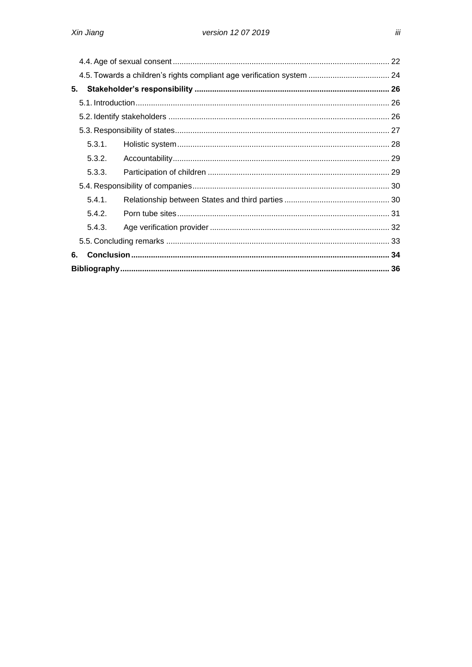|    |        | 4.5. Towards a children's rights compliant age verification system  24 |  |  |  |
|----|--------|------------------------------------------------------------------------|--|--|--|
| 5. |        |                                                                        |  |  |  |
|    |        |                                                                        |  |  |  |
|    |        |                                                                        |  |  |  |
|    |        |                                                                        |  |  |  |
|    | 5.3.1. |                                                                        |  |  |  |
|    | 5.3.2. |                                                                        |  |  |  |
|    | 5.3.3. |                                                                        |  |  |  |
|    |        |                                                                        |  |  |  |
|    | 5.4.1. |                                                                        |  |  |  |
|    | 5.4.2. |                                                                        |  |  |  |
|    | 5.4.3. |                                                                        |  |  |  |
|    |        |                                                                        |  |  |  |
| 6. |        |                                                                        |  |  |  |
|    |        |                                                                        |  |  |  |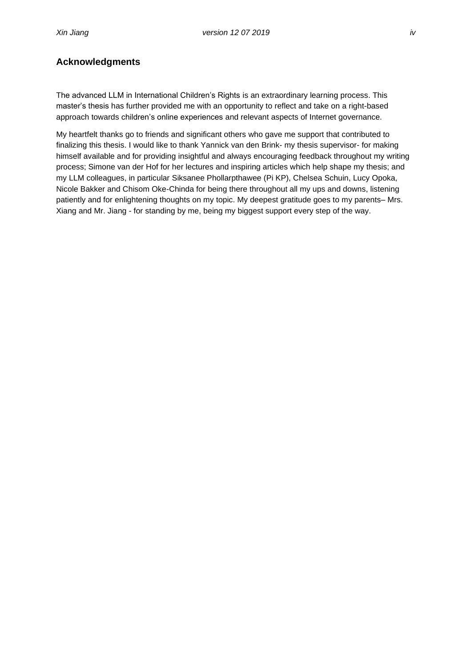### <span id="page-4-0"></span>**Acknowledgments**

The advanced LLM in International Children's Rights is an extraordinary learning process. This master's thesis has further provided me with an opportunity to reflect and take on a right-based approach towards children's online experiences and relevant aspects of Internet governance.

My heartfelt thanks go to friends and significant others who gave me support that contributed to finalizing this thesis. I would like to thank Yannick van den Brink- my thesis supervisor- for making himself available and for providing insightful and always encouraging feedback throughout my writing process; Simone van der Hof for her lectures and inspiring articles which help shape my thesis; and my LLM colleagues, in particular Siksanee Phollarpthawee (Pi KP), Chelsea Schuin, Lucy Opoka, Nicole Bakker and Chisom Oke-Chinda for being there throughout all my ups and downs, listening patiently and for enlightening thoughts on my topic. My deepest gratitude goes to my parents– Mrs. Xiang and Mr. Jiang - for standing by me, being my biggest support every step of the way.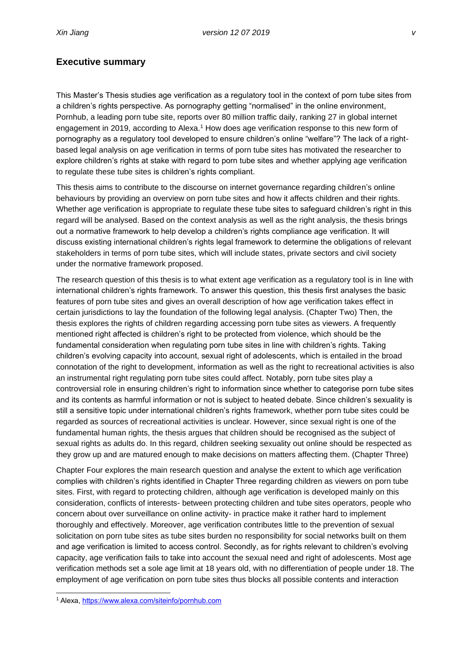#### <span id="page-5-0"></span>**Executive summary**

This Master's Thesis studies age verification as a regulatory tool in the context of porn tube sites from a children's rights perspective. As pornography getting "normalised" in the online environment, Pornhub, a leading porn tube site, reports over 80 million traffic daily, ranking 27 in global internet engagement in 2019, according to Alexa.<sup>1</sup> How does age verification response to this new form of pornography as a regulatory tool developed to ensure children's online "welfare"? The lack of a rightbased legal analysis on age verification in terms of porn tube sites has motivated the researcher to explore children's rights at stake with regard to porn tube sites and whether applying age verification to regulate these tube sites is children's rights compliant.

This thesis aims to contribute to the discourse on internet governance regarding children's online behaviours by providing an overview on porn tube sites and how it affects children and their rights. Whether age verification is appropriate to regulate these tube sites to safeguard children's right in this regard will be analysed. Based on the context analysis as well as the right analysis, the thesis brings out a normative framework to help develop a children's rights compliance age verification. It will discuss existing international children's rights legal framework to determine the obligations of relevant stakeholders in terms of porn tube sites, which will include states, private sectors and civil society under the normative framework proposed.

The research question of this thesis is to what extent age verification as a regulatory tool is in line with international children's rights framework. To answer this question, this thesis first analyses the basic features of porn tube sites and gives an overall description of how age verification takes effect in certain jurisdictions to lay the foundation of the following legal analysis. (Chapter Two) Then, the thesis explores the rights of children regarding accessing porn tube sites as viewers. A frequently mentioned right affected is children's right to be protected from violence, which should be the fundamental consideration when regulating porn tube sites in line with children's rights. Taking children's evolving capacity into account, sexual right of adolescents, which is entailed in the broad connotation of the right to development, information as well as the right to recreational activities is also an instrumental right regulating porn tube sites could affect. Notably, porn tube sites play a controversial role in ensuring children's right to information since whether to categorise porn tube sites and its contents as harmful information or not is subject to heated debate. Since children's sexuality is still a sensitive topic under international children's rights framework, whether porn tube sites could be regarded as sources of recreational activities is unclear. However, since sexual right is one of the fundamental human rights, the thesis argues that children should be recognised as the subject of sexual rights as adults do. In this regard, children seeking sexuality out online should be respected as they grow up and are matured enough to make decisions on matters affecting them. (Chapter Three)

Chapter Four explores the main research question and analyse the extent to which age verification complies with children's rights identified in Chapter Three regarding children as viewers on porn tube sites. First, with regard to protecting children, although age verification is developed mainly on this consideration, conflicts of interests- between protecting children and tube sites operators, people who concern about over surveillance on online activity- in practice make it rather hard to implement thoroughly and effectively. Moreover, age verification contributes little to the prevention of sexual solicitation on porn tube sites as tube sites burden no responsibility for social networks built on them and age verification is limited to access control. Secondly, as for rights relevant to children's evolving capacity, age verification fails to take into account the sexual need and right of adolescents. Most age verification methods set a sole age limit at 18 years old, with no differentiation of people under 18. The employment of age verification on porn tube sites thus blocks all possible contents and interaction

<sup>1</sup> Alexa,<https://www.alexa.com/siteinfo/pornhub.com>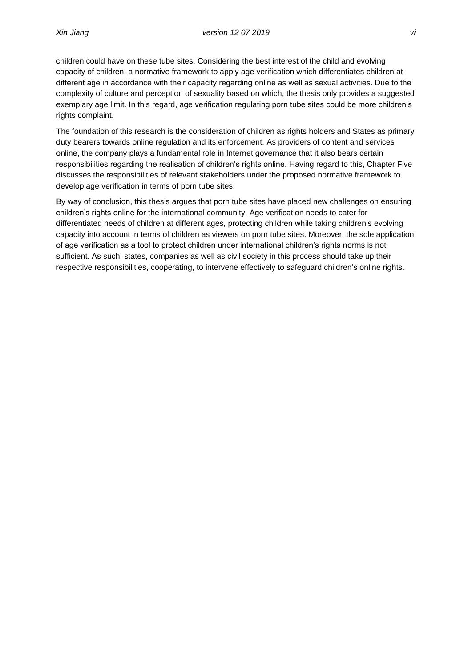children could have on these tube sites. Considering the best interest of the child and evolving capacity of children, a normative framework to apply age verification which differentiates children at different age in accordance with their capacity regarding online as well as sexual activities. Due to the complexity of culture and perception of sexuality based on which, the thesis only provides a suggested exemplary age limit. In this regard, age verification regulating porn tube sites could be more children's rights complaint.

The foundation of this research is the consideration of children as rights holders and States as primary duty bearers towards online regulation and its enforcement. As providers of content and services online, the company plays a fundamental role in Internet governance that it also bears certain responsibilities regarding the realisation of children's rights online. Having regard to this, Chapter Five discusses the responsibilities of relevant stakeholders under the proposed normative framework to develop age verification in terms of porn tube sites.

By way of conclusion, this thesis argues that porn tube sites have placed new challenges on ensuring children's rights online for the international community. Age verification needs to cater for differentiated needs of children at different ages, protecting children while taking children's evolving capacity into account in terms of children as viewers on porn tube sites. Moreover, the sole application of age verification as a tool to protect children under international children's rights norms is not sufficient. As such, states, companies as well as civil society in this process should take up their respective responsibilities, cooperating, to intervene effectively to safeguard children's online rights.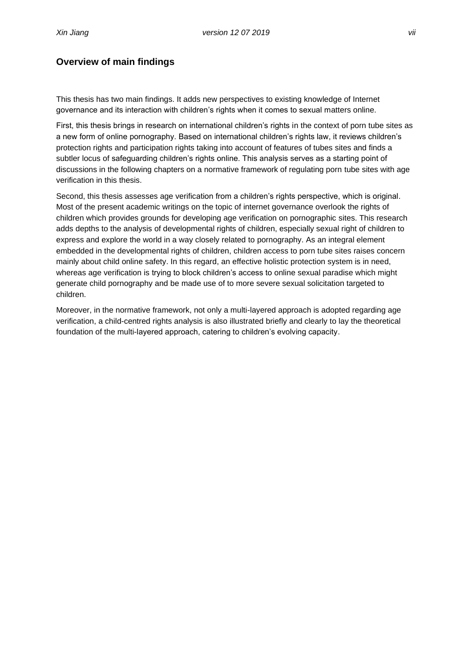## <span id="page-7-0"></span>**Overview of main findings**

This thesis has two main findings. It adds new perspectives to existing knowledge of Internet governance and its interaction with children's rights when it comes to sexual matters online.

First, this thesis brings in research on international children's rights in the context of porn tube sites as a new form of online pornography. Based on international children's rights law, it reviews children's protection rights and participation rights taking into account of features of tubes sites and finds a subtler locus of safeguarding children's rights online. This analysis serves as a starting point of discussions in the following chapters on a normative framework of regulating porn tube sites with age verification in this thesis.

Second, this thesis assesses age verification from a children's rights perspective, which is original. Most of the present academic writings on the topic of internet governance overlook the rights of children which provides grounds for developing age verification on pornographic sites. This research adds depths to the analysis of developmental rights of children, especially sexual right of children to express and explore the world in a way closely related to pornography. As an integral element embedded in the developmental rights of children, children access to porn tube sites raises concern mainly about child online safety. In this regard, an effective holistic protection system is in need, whereas age verification is trying to block children's access to online sexual paradise which might generate child pornography and be made use of to more severe sexual solicitation targeted to children.

Moreover, in the normative framework, not only a multi-layered approach is adopted regarding age verification, a child-centred rights analysis is also illustrated briefly and clearly to lay the theoretical foundation of the multi-layered approach, catering to children's evolving capacity.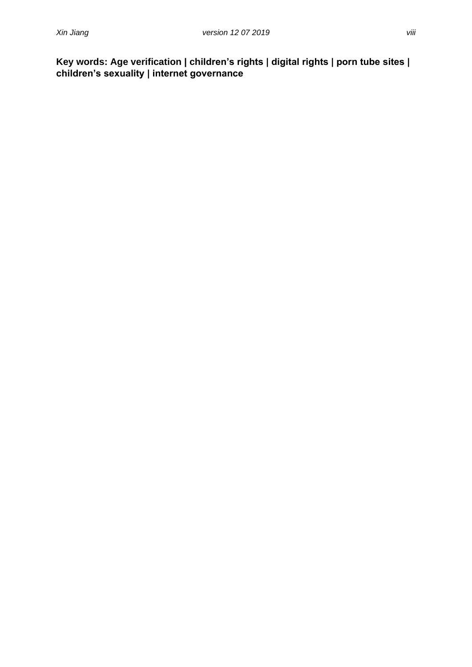<span id="page-8-0"></span>**Key words: Age verification | children's rights | digital rights | porn tube sites | children's sexuality | internet governance**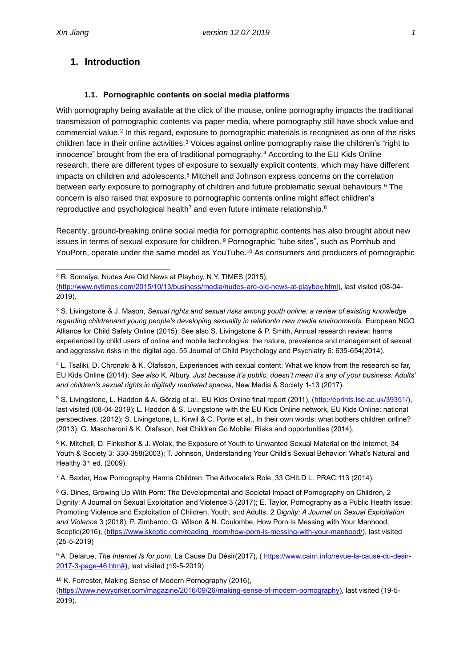## <span id="page-9-0"></span>**1. Introduction**

#### <span id="page-9-1"></span>**1.1. Pornographic contents on social media platforms**

With pornography being available at the click of the mouse, online pornography impacts the traditional transmission of pornographic contents via paper media, where pornography still have shock value and commercial value.<sup>2</sup> In this regard, exposure to pornographic materials is recognised as one of the risks children face in their online activities.<sup>3</sup> Voices against online pornography raise the children's "right to innocence" brought from the era of traditional pornography.<sup>4</sup> According to the EU Kids Online research, there are different types of exposure to sexually explicit contents, which may have different impacts on children and adolescents.<sup>5</sup> Mitchell and Johnson express concerns on the correlation between early exposure to pornography of children and future problematic sexual behaviours.<sup>6</sup> The concern is also raised that exposure to pornographic contents online might affect children's reproductive and psychological health<sup>7</sup> and even future intimate relationship.<sup>8</sup>

Recently, ground-breaking online social media for pornographic contents has also brought about new issues in terms of sexual exposure for children. <sup>9</sup> Pornographic "tube sites", such as Pornhub and YouPorn, operate under the same model as YouTube.<sup>10</sup> As consumers and producers of pornographic

<sup>4</sup> L. Tsaliki, D. Chronaki & K. Ólafsson, Experiences with sexual content: What we know from the research so far, EU Kids Online (2014); *See also* K. Albury, *Just because it's public, doesn't mean it's any of your business: Adults' and children's sexual rights in digitally mediated spaces*, New Media & Society 1-13 (2017).

5 S. Livingstone, L. Haddon & A. Görzig et al., EU Kids Online final report (2011), [\(http://eprints.lse.ac.uk/39351/\)](http://eprints.lse.ac.uk/39351/), last visited (08-04-2019); L. Haddon & S. Livingstone with the EU Kids Online network, EU Kids Online: national perspectives. (2012); S. Livingstone, L. Kirwil & C. Ponte et al., In their own words: what bothers children online? (2013); G. Mascheroni & K. Ólafsson, Net Children Go Mobile: Risks and opportunities (2014).

<sup>6</sup> K. Mitchell, D. Finkelhor & J. Wolak, the Exposure of Youth to Unwanted Sexual Material on the Internet, 34 Youth & Society 3: 330-358(2003); T. Johnson, Understanding Your Child's Sexual Behavior: What's Natural and Healthy 3rd ed. (2009).

<sup>7</sup> A. Baxter, How Pornography Harms Children: The Advocate's Role, 33 CHILD L. PRAC.113 (2014).

<sup>9</sup> A. Delarue, *The Internet Is for porn*, La Cause Du Désir(2017), ( [https://www.cairn.info/revue-la-cause-du-desir-](https://www.cairn.info/revue-la-cause-du-desir-2017-3-page-46.htm)[2017-3-page-46.htm#\)](https://www.cairn.info/revue-la-cause-du-desir-2017-3-page-46.htm), last visited (19-5-2019)

<sup>10</sup> K. Forrester, Making Sense of Modern Pornography (2016),

[\(https://www.newyorker.com/magazine/2016/09/26/making-sense-of-modern-pornography\)](https://www.newyorker.com/magazine/2016/09/26/making-sense-of-modern-pornography), last visited (19-5- 2019).

<sup>2</sup> R. Somaiya, Nudes Are Old News at Playboy, N.Y. TIMES (2015), [\(http://www.nytimes.com/2015/10/13/business/media/nudes-are-old-news-at-playboy.html\)](http://www.nytimes.com/2015/10/13/business/media/nudes-are-old-news-at-playboy.html), last visited (08-04-

<sup>2019).</sup>

<sup>3</sup> S. Livingstone & J. Mason, *Sexual rights and sexual risks among youth online: a review of existing knowledge regarding childrenand young people's developing sexuality in relationto new media environments,* European NGO Alliance for Child Safety Online (2015); See also S. Livingstone & P. Smith, Annual research review: harms experienced by child users of online and mobile technologies: the nature, prevalence and management of sexual and aggressive risks in the digital age. 55 Journal of Child Psychology and Psychiatry 6: 635-654(2014).

<sup>&</sup>lt;sup>8</sup> G. Dines, Growing Up With Porn: The Developmental and Societal Impact of Pornography on Children, 2 Dignity: A Journal on Sexual Exploitation and Violence 3 (2017); E. Taylor, Pornography as a Public Health Issue: Promoting Violence and Exploitation of Children, Youth, and Adults, 2 *Dignity: A Journal on Sexual Exploitation and Violence* 3 (2018); P. Zimbardo, G. Wilson & N. Coulombe, How Porn Is Messing with Your Manhood, Sceptic(2016), [\(https://www.skeptic.com/reading\\_room/how-porn-is-messing-with-your-manhood/\)](https://www.skeptic.com/reading_room/how-porn-is-messing-with-your-manhood/), last visited (25-5-2019)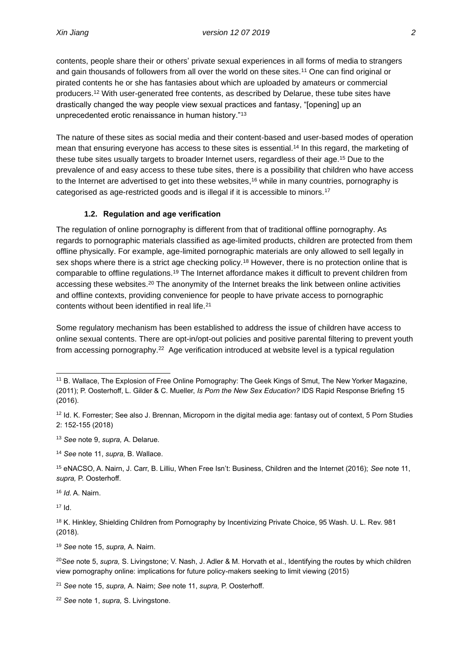contents, people share their or others' private sexual experiences in all forms of media to strangers and gain thousands of followers from all over the world on these sites.<sup>11</sup> One can find original or pirated contents he or she has fantasies about which are uploaded by amateurs or commercial producers.<sup>12</sup> With user-generated free contents, as described by Delarue, these tube sites have drastically changed the way people view sexual practices and fantasy, "[opening] up an unprecedented erotic renaissance in human history."<sup>13</sup>

The nature of these sites as social media and their content-based and user-based modes of operation mean that ensuring everyone has access to these sites is essential.<sup>14</sup> In this regard, the marketing of these tube sites usually targets to broader Internet users, regardless of their age.<sup>15</sup> Due to the prevalence of and easy access to these tube sites, there is a possibility that children who have access to the Internet are advertised to get into these websites,<sup>16</sup> while in many countries, pornography is categorised as age-restricted goods and is illegal if it is accessible to minors.<sup>17</sup>

#### <span id="page-10-0"></span>**1.2. Regulation and age verification**

The regulation of online pornography is different from that of traditional offline pornography. As regards to pornographic materials classified as age-limited products, children are protected from them offline physically. For example, age-limited pornographic materials are only allowed to sell legally in sex shops where there is a strict age checking policy.<sup>18</sup> However, there is no protection online that is comparable to offline regulations.<sup>19</sup> The Internet affordance makes it difficult to prevent children from accessing these websites.<sup>20</sup> The anonymity of the Internet breaks the link between online activities and offline contexts, providing convenience for people to have private access to pornographic contents without been identified in real life.<sup>21</sup>

Some regulatory mechanism has been established to address the issue of children have access to online sexual contents. There are opt-in/opt-out policies and positive parental filtering to prevent youth from accessing pornography.<sup>22</sup> Age verification introduced at website level is a typical regulation

<sup>13</sup> *See* note 9, *supra,* A. Delarue.

<sup>14</sup> *See* note 11, *supra,* B. Wallace.

<sup>15</sup> eNACSO, A. Nairn, J. Carr, B. Lilliu, When Free Isn't: Business, Children and the Internet (2016); *See* note 11, *supra,* P. Oosterhoff.

<sup>16</sup> *Id.* A. Nairn.

 $17$   $\text{Id}$ .

<sup>18</sup> K. Hinkley, Shielding Children from Pornography by Incentivizing Private Choice, 95 Wash. U. L. Rev. 981 (2018).

<sup>19</sup> *See* note 15, *supra,* A. Nairn.

<sup>20</sup>*See* note 5, *supra,* S. Livingstone; V. Nash, J. Adler & M. Horvath et al., Identifying the routes by which children view pornography online: implications for future policy-makers seeking to limit viewing (2015)

<sup>21</sup> *See* note 15, *supra,* A. Nairn; *See* note 11, *supra,* P. Oosterhoff.

<sup>22</sup> *See* note 1, *supra,* S. Livingstone*.*

<sup>11</sup> B. Wallace, The Explosion of Free Online Pornography: The Geek Kings of Smut, The New Yorker Magazine, (2011); P. Oosterhoff, L. Gilder & C. Mueller, *Is Porn the New Sex Education?* IDS Rapid Response Briefing 15 (2016).

<sup>12</sup> Id. K. Forrester; See also J. Brennan, Microporn in the digital media age: fantasy out of context, 5 Porn Studies 2: 152-155 (2018)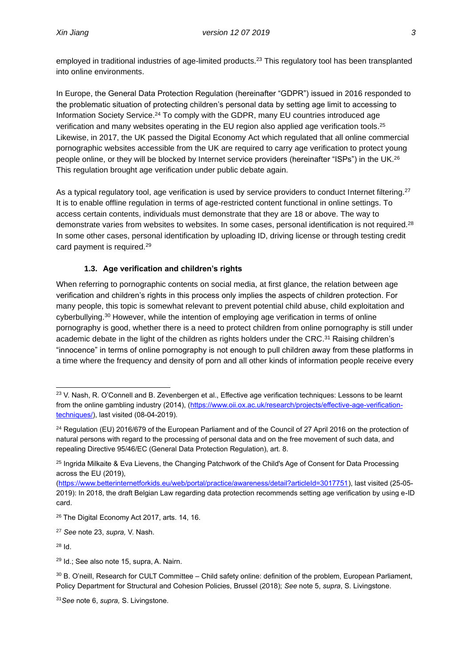employed in traditional industries of age-limited products.<sup>23</sup> This regulatory tool has been transplanted into online environments.

In Europe, the General Data Protection Regulation (hereinafter "GDPR") issued in 2016 responded to the problematic situation of protecting children's personal data by setting age limit to accessing to Information Society Service.<sup>24</sup> To comply with the GDPR, many EU countries introduced age verification and many websites operating in the EU region also applied age verification tools.<sup>25</sup> Likewise, in 2017, the UK passed the Digital Economy Act which regulated that all online commercial pornographic websites accessible from the UK are required to carry age verification to protect young people online, or they will be blocked by Internet service providers (hereinafter "ISPs") in the UK.<sup>26</sup> This regulation brought age verification under public debate again.

As a typical regulatory tool, age verification is used by service providers to conduct Internet filtering.<sup>27</sup> It is to enable offline regulation in terms of age-restricted content functional in online settings. To access certain contents, individuals must demonstrate that they are 18 or above. The way to demonstrate varies from websites to websites. In some cases, personal identification is not required.<sup>28</sup> In some other cases, personal identification by uploading ID, driving license or through testing credit card payment is required.<sup>29</sup>

### <span id="page-11-0"></span>**1.3. Age verification and children's rights**

When referring to pornographic contents on social media, at first glance, the relation between age verification and children's rights in this process only implies the aspects of children protection. For many people, this topic is somewhat relevant to prevent potential child abuse, child exploitation and cyberbullying.<sup>30</sup> However, while the intention of employing age verification in terms of online pornography is good, whether there is a need to protect children from online pornography is still under academic debate in the light of the children as rights holders under the CRC.<sup>31</sup> Raising children's "innocence" in terms of online pornography is not enough to pull children away from these platforms in a time where the frequency and density of porn and all other kinds of information people receive every

[\(https://www.betterinternetforkids.eu/web/portal/practice/awareness/detail?articleId=3017751\)](https://www.betterinternetforkids.eu/web/portal/practice/awareness/detail?articleId=3017751), last visited (25-05- 2019): In 2018, the draft Belgian Law regarding data protection recommends setting age verification by using e-ID card.

<sup>&</sup>lt;sup>23</sup> V. Nash, R. O'Connell and B. Zevenbergen et al., Effective age verification techniques: Lessons to be learnt from the online gambling industry (2014), [\(https://www.oii.ox.ac.uk/research/projects/effective-age-verification](https://www.oii.ox.ac.uk/research/projects/effective-age-verification-techniques/)[techniques/\)](https://www.oii.ox.ac.uk/research/projects/effective-age-verification-techniques/), last visited (08-04-2019).

<sup>&</sup>lt;sup>24</sup> Regulation (EU) 2016/679 of the European Parliament and of the Council of 27 April 2016 on the protection of natural persons with regard to the processing of personal data and on the free movement of such data, and repealing Directive 95/46/EC (General Data Protection Regulation), art. 8.

<sup>&</sup>lt;sup>25</sup> Ingrida Milkaite & Eva Lievens, the Changing Patchwork of the Child's Age of Consent for Data Processing across the EU (2019),

<sup>26</sup> The Digital Economy Act 2017, arts. 14, 16.

<sup>27</sup> *See* note 23, *supra,* V. Nash.

<sup>28</sup> Id.

<sup>29</sup> Id.; See also note 15, supra, A. Nairn.

<sup>30</sup> B. O'neill, Research for CULT Committee – Child safety online: definition of the problem, European Parliament, Policy Department for Structural and Cohesion Policies, Brussel (2018); *See* note 5, *supra*, S. Livingstone.

<sup>31</sup>*See* note 6, *supra,* S. Livingstone.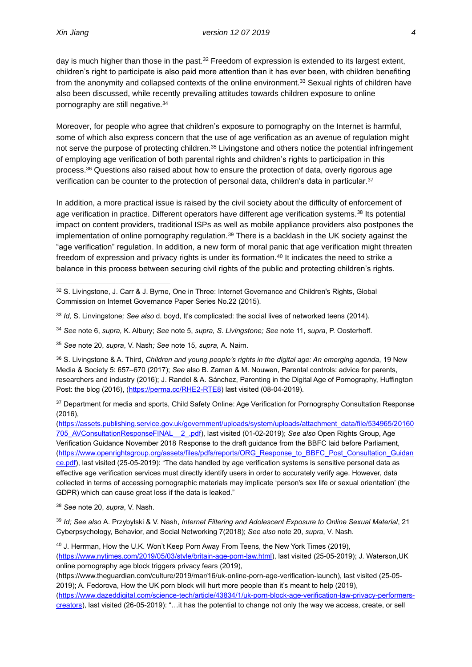day is much higher than those in the past.<sup>32</sup> Freedom of expression is extended to its largest extent, children's right to participate is also paid more attention than it has ever been, with children benefiting from the anonymity and collapsed contexts of the online environment.<sup>33</sup> Sexual rights of children have also been discussed, while recently prevailing attitudes towards children exposure to online pornography are still negative.<sup>34</sup>

Moreover, for people who agree that children's exposure to pornography on the Internet is harmful, some of which also express concern that the use of age verification as an avenue of regulation might not serve the purpose of protecting children.<sup>35</sup> Livingstone and others notice the potential infringement of employing age verification of both parental rights and children's rights to participation in this process.<sup>36</sup> Questions also raised about how to ensure the protection of data, overly rigorous age verification can be counter to the protection of personal data, children's data in particular.<sup>37</sup>

In addition, a more practical issue is raised by the civil society about the difficulty of enforcement of age verification in practice. Different operators have different age verification systems.<sup>38</sup> Its potential impact on content providers, traditional ISPs as well as mobile appliance providers also postpones the implementation of online pornography regulation.<sup>39</sup> There is a backlash in the UK society against the "age verification" regulation. In addition, a new form of moral panic that age verification might threaten freedom of expression and privacy rights is under its formation.<sup>40</sup> It indicates the need to strike a balance in this process between securing civil rights of the public and protecting children's rights.

- <sup>33</sup> *Id,* S. Linvingstone*; See also* d. boyd, It's complicated: the social lives of networked teens (2014).
- <sup>34</sup> *See* note 6, *supra,* K. Albury; *See* note 5, *supra, S. Livingstone; See* note 11, *supra*, P. Oosterhoff.
- <sup>35</sup> *See* note 20, *supra*, V. Nash*; See* note 15, *supra,* A. Nairn*.*

<sup>36</sup> S. Livingstone & A. Third, *Children and young people's rights in the digital age: An emerging agenda*, 19 New Media & Society 5: 657–670 (2017); *See* also B. Zaman & M. Nouwen, Parental controls: advice for parents, researchers and industry (2016); J. Randel & A. Sánchez, Parenting in the Digital Age of Pornography, Huffington Post: the blog (2016), [\(https://perma.cc/RHE2-RTE8\)](https://perma.cc/RHE2-RTE8) last visited (08-04-2019).

<sup>37</sup> Department for media and sports, Child Safety Online: Age Verification for Pornography Consultation Response (2016),

[\(https://assets.publishing.service.gov.uk/government/uploads/system/uploads/attachment\\_data/file/534965/20160](https://assets.publishing.service.gov.uk/government/uploads/system/uploads/attachment_data/file/534965/20160705_AVConsultationResponseFINAL__2_.pdf) [705\\_AVConsultationResponseFINAL\\_\\_2\\_.pdf\)](https://assets.publishing.service.gov.uk/government/uploads/system/uploads/attachment_data/file/534965/20160705_AVConsultationResponseFINAL__2_.pdf), last visited (01-02-2019); *See also* Open Rights Group, Age Verification Guidance November 2018 Response to the draft guidance from the BBFC laid before Parliament, [\(https://www.openrightsgroup.org/assets/files/pdfs/reports/ORG\\_Response\\_to\\_BBFC\\_Post\\_Consultation\\_Guidan](https://www.openrightsgroup.org/assets/files/pdfs/reports/ORG_Response_to_BBFC_Post_Consultation_Guidance.pdf) [ce.pdf\)](https://www.openrightsgroup.org/assets/files/pdfs/reports/ORG_Response_to_BBFC_Post_Consultation_Guidance.pdf), last visited (25-05-2019): "The data handled by age verification systems is sensitive personal data as effective age verification services must directly identify users in order to accurately verify age. However, data collected in terms of accessing pornographic materials may implicate 'person's sex life or sexual orientation' (the GDPR) which can cause great loss if the data is leaked."

<sup>38</sup> *See* note 20, *supra*, V. Nash.

<sup>39</sup> *Id; See also* A. Przybylski & V. Nash, *Internet Filtering and Adolescent Exposure to Online Sexual Material*, 21 Cyberpsychology, Behavior, and Social Networking 7(2018); *See also* note 20, *supra*, V. Nash.

<sup>40</sup> J. Herrman, How the U.K. Won't Keep Porn Away From Teens, the New York Times (2019), [\(https://www.nytimes.com/2019/05/03/style/britain-age-porn-law.html\)](https://www.nytimes.com/2019/05/03/style/britain-age-porn-law.html), last visited (25-05-2019); J. Waterson,UK online pornography age block triggers privacy fears (2019),

(https://www.theguardian.com/culture/2019/mar/16/uk-online-porn-age-verification-launch), last visited (25-05- 2019); A. Fedorova, How the UK porn block will hurt more people than it's meant to help (2019), [\(https://www.dazeddigital.com/science-tech/article/43834/1/uk-porn-block-age-verification-law-privacy-performers-](https://www.dazeddigital.com/science-tech/article/43834/1/uk-porn-block-age-verification-law-privacy-performers-creators)

[creators\)](https://www.dazeddigital.com/science-tech/article/43834/1/uk-porn-block-age-verification-law-privacy-performers-creators), last visited (26-05-2019): "…it has the potential to change not only the way we access, create, or sell

<sup>&</sup>lt;sup>32</sup> S. Livingstone, J. Carr & J. Byrne, One in Three: Internet Governance and Children's Rights, Global Commission on Internet Governance Paper Series No.22 (2015).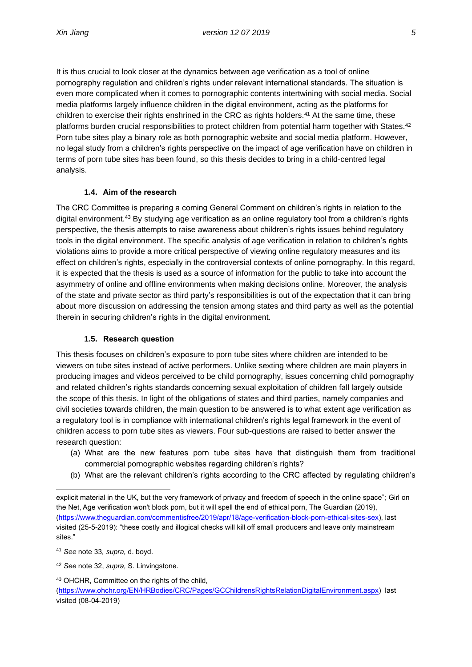It is thus crucial to look closer at the dynamics between age verification as a tool of online pornography regulation and children's rights under relevant international standards. The situation is even more complicated when it comes to pornographic contents intertwining with social media. Social media platforms largely influence children in the digital environment, acting as the platforms for children to exercise their rights enshrined in the CRC as rights holders.<sup>41</sup> At the same time, these platforms burden crucial responsibilities to protect children from potential harm together with States.<sup>42</sup> Porn tube sites play a binary role as both pornographic website and social media platform. However, no legal study from a children's rights perspective on the impact of age verification have on children in terms of porn tube sites has been found, so this thesis decides to bring in a child-centred legal analysis.

### <span id="page-13-0"></span>**1.4. Aim of the research**

The CRC Committee is preparing a coming General Comment on children's rights in relation to the digital environment.<sup>43</sup> By studying age verification as an online regulatory tool from a children's rights perspective, the thesis attempts to raise awareness about children's rights issues behind regulatory tools in the digital environment. The specific analysis of age verification in relation to children's rights violations aims to provide a more critical perspective of viewing online regulatory measures and its effect on children's rights, especially in the controversial contexts of online pornography. In this regard, it is expected that the thesis is used as a source of information for the public to take into account the asymmetry of online and offline environments when making decisions online. Moreover, the analysis of the state and private sector as third party's responsibilities is out of the expectation that it can bring about more discussion on addressing the tension among states and third party as well as the potential therein in securing children's rights in the digital environment.

### <span id="page-13-1"></span>**1.5. Research question**

This thesis focuses on children's exposure to porn tube sites where children are intended to be viewers on tube sites instead of active performers. Unlike sexting where children are main players in producing images and videos perceived to be child pornography, issues concerning child pornography and related children's rights standards concerning sexual exploitation of children fall largely outside the scope of this thesis. In light of the obligations of states and third parties, namely companies and civil societies towards children, the main question to be answered is to what extent age verification as a regulatory tool is in compliance with international children's rights legal framework in the event of children access to porn tube sites as viewers. Four sub-questions are raised to better answer the research question:

- (a) What are the new features porn tube sites have that distinguish them from traditional commercial pornographic websites regarding children's rights?
- (b) What are the relevant children's rights according to the CRC affected by regulating children's

<sup>42</sup> *See* note 32, *supra,* S. Linvingstone.

<sup>43</sup> OHCHR, Committee on the rights of the child,

explicit material in the UK, but the very framework of privacy and freedom of speech in the online space"; Girl on the Net, Age verification won't block porn, but it will spell the end of ethical porn, The Guardian (2019), [\(https://www.theguardian.com/commentisfree/2019/apr/18/age-verification-block-porn-ethical-sites-sex\)](https://www.theguardian.com/commentisfree/2019/apr/18/age-verification-block-porn-ethical-sites-sex), last visited (25-5-2019): "these costly and illogical checks will kill off small producers and leave only mainstream sites."

<sup>41</sup> *See* note 33*, supra,* d. boyd.

[<sup>\(</sup>https://www.ohchr.org/EN/HRBodies/CRC/Pages/GCChildrensRightsRelationDigitalEnvironment.aspx\)](https://www.ohchr.org/EN/HRBodies/CRC/Pages/GCChildrensRightsRelationDigitalEnvironment.aspx) last visited (08-04-2019)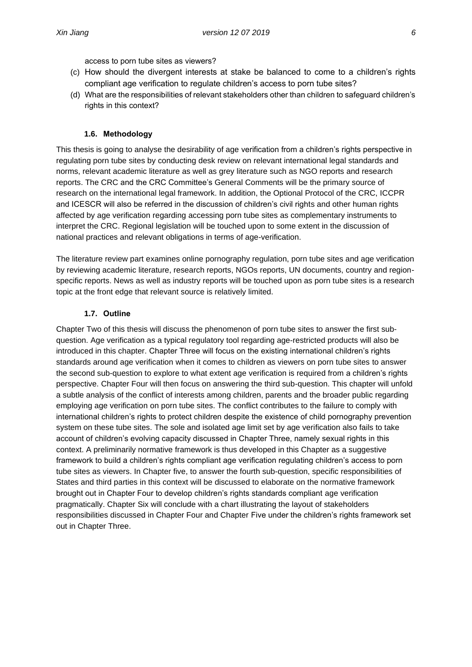access to porn tube sites as viewers?

- (c) How should the divergent interests at stake be balanced to come to a children's rights compliant age verification to regulate children's access to porn tube sites?
- (d) What are the responsibilities of relevant stakeholders other than children to safeguard children's rights in this context?

#### <span id="page-14-0"></span>**1.6. Methodology**

This thesis is going to analyse the desirability of age verification from a children's rights perspective in regulating porn tube sites by conducting desk review on relevant international legal standards and norms, relevant academic literature as well as grey literature such as NGO reports and research reports. The CRC and the CRC Committee's General Comments will be the primary source of research on the international legal framework. In addition, the Optional Protocol of the CRC, ICCPR and ICESCR will also be referred in the discussion of children's civil rights and other human rights affected by age verification regarding accessing porn tube sites as complementary instruments to interpret the CRC. Regional legislation will be touched upon to some extent in the discussion of national practices and relevant obligations in terms of age-verification.

The literature review part examines online pornography regulation, porn tube sites and age verification by reviewing academic literature, research reports, NGOs reports, UN documents, country and regionspecific reports. News as well as industry reports will be touched upon as porn tube sites is a research topic at the front edge that relevant source is relatively limited.

#### <span id="page-14-1"></span>**1.7. Outline**

Chapter Two of this thesis will discuss the phenomenon of porn tube sites to answer the first subquestion. Age verification as a typical regulatory tool regarding age-restricted products will also be introduced in this chapter. Chapter Three will focus on the existing international children's rights standards around age verification when it comes to children as viewers on porn tube sites to answer the second sub-question to explore to what extent age verification is required from a children's rights perspective. Chapter Four will then focus on answering the third sub-question. This chapter will unfold a subtle analysis of the conflict of interests among children, parents and the broader public regarding employing age verification on porn tube sites. The conflict contributes to the failure to comply with international children's rights to protect children despite the existence of child pornography prevention system on these tube sites. The sole and isolated age limit set by age verification also fails to take account of children's evolving capacity discussed in Chapter Three, namely sexual rights in this context. A preliminarily normative framework is thus developed in this Chapter as a suggestive framework to build a children's rights compliant age verification regulating children's access to porn tube sites as viewers. In Chapter five, to answer the fourth sub-question, specific responsibilities of States and third parties in this context will be discussed to elaborate on the normative framework brought out in Chapter Four to develop children's rights standards compliant age verification pragmatically. Chapter Six will conclude with a chart illustrating the layout of stakeholders responsibilities discussed in Chapter Four and Chapter Five under the children's rights framework set out in Chapter Three.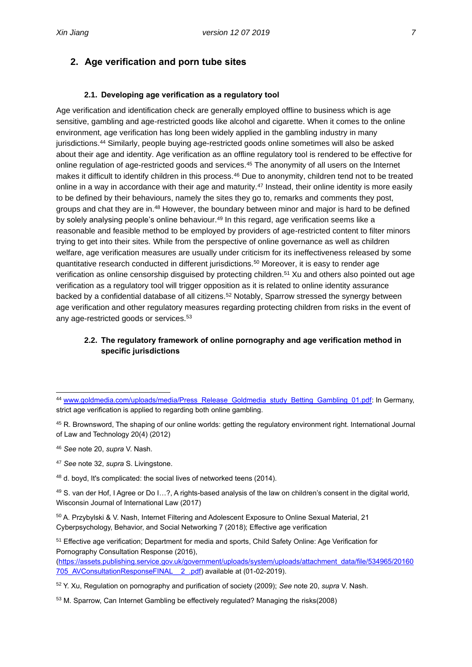## <span id="page-15-0"></span>**2. Age verification and porn tube sites**

### **2.1. Developing age verification as a regulatory tool**

<span id="page-15-1"></span>Age verification and identification check are generally employed offline to business which is age sensitive, gambling and age-restricted goods like alcohol and cigarette. When it comes to the online environment, age verification has long been widely applied in the gambling industry in many jurisdictions.<sup>44</sup> Similarly, people buying age-restricted goods online sometimes will also be asked about their age and identity. Age verification as an offline regulatory tool is rendered to be effective for online regulation of age-restricted goods and services.<sup>45</sup> The anonymity of all users on the Internet makes it difficult to identify children in this process.<sup>46</sup> Due to anonymity, children tend not to be treated online in a way in accordance with their age and maturity.<sup>47</sup> Instead, their online identity is more easily to be defined by their behaviours, namely the sites they go to, remarks and comments they post, groups and chat they are in.<sup>48</sup> However, the boundary between minor and major is hard to be defined by solely analysing people's online behaviour.<sup>49</sup> In this regard, age verification seems like a reasonable and feasible method to be employed by providers of age-restricted content to filter minors trying to get into their sites. While from the perspective of online governance as well as children welfare, age verification measures are usually under criticism for its ineffectiveness released by some quantitative research conducted in different jurisdictions.<sup>50</sup> Moreover, it is easy to render age verification as online censorship disguised by protecting children.<sup>51</sup> Xu and others also pointed out age verification as a regulatory tool will trigger opposition as it is related to online identity assurance backed by a confidential database of all citizens.<sup>52</sup> Notably, Sparrow stressed the synergy between age verification and other regulatory measures regarding protecting children from risks in the event of any age-restricted goods or services.<sup>53</sup>

### <span id="page-15-2"></span>**2.2. The regulatory framework of online pornography and age verification method in specific jurisdictions**

- <sup>45</sup> R. Brownsword, The shaping of our online worlds: getting the regulatory environment right. International Journal of Law and Technology 20(4) (2012)
- <sup>46</sup> *See* note 20, *supra* V. Nash*.*
- <sup>47</sup> *See* note 32, *supra* S. Livingstone.

<sup>50</sup> A. Przybylski & V. Nash, Internet Filtering and Adolescent Exposure to Online Sexual Material, 21 Cyberpsychology, Behavior, and Social Networking 7 (2018); Effective age verification

<sup>51</sup> Effective age verification; Department for media and sports, Child Safety Online: Age Verification for Pornography Consultation Response (2016), [\(https://assets.publishing.service.gov.uk/government/uploads/system/uploads/attachment\\_data/file/534965/20160](https://assets.publishing.service.gov.uk/government/uploads/system/uploads/attachment_data/file/534965/20160705_AVConsultationResponseFINAL__2_.pdf) [705\\_AVConsultationResponseFINAL\\_\\_2\\_.pdf\)](https://assets.publishing.service.gov.uk/government/uploads/system/uploads/attachment_data/file/534965/20160705_AVConsultationResponseFINAL__2_.pdf) available at (01-02-2019).

<sup>&</sup>lt;sup>44</sup> [www.goldmedia.com/uploads/media/Press\\_Release\\_Goldmedia\\_study\\_Betting\\_Gambling\\_01.pdf:](http://www.goldmedia.com/uploads/media/Press_Release_Goldmedia_study_Betting_Gambling_01.pdf) In Germany, strict age verification is applied to regarding both online gambling.

<sup>48</sup> d. boyd, It's complicated: the social lives of networked teens (2014).

<sup>49</sup> S. van der Hof, I Agree or Do I…?, A rights-based analysis of the law on children's consent in the digital world, Wisconsin Journal of International Law (2017)

<sup>52</sup> Y. Xu, Regulation on pornography and purification of society (2009); *See* note 20, *supra* V. Nash.

<sup>53</sup> M. Sparrow, Can Internet Gambling be effectively regulated? Managing the risks(2008)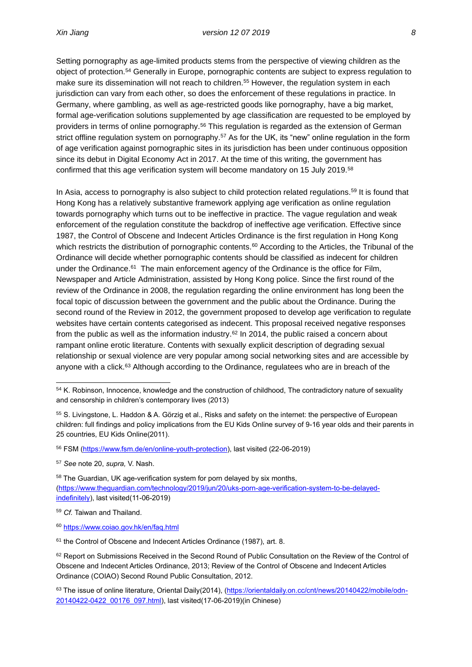Setting pornography as age-limited products stems from the perspective of viewing children as the object of protection.<sup>54</sup> Generally in Europe, pornographic contents are subject to express regulation to make sure its dissemination will not reach to children.<sup>55</sup> However, the regulation system in each jurisdiction can vary from each other, so does the enforcement of these regulations in practice. In Germany, where gambling, as well as age-restricted goods like pornography, have a big market, formal age-verification solutions supplemented by age classification are requested to be employed by providers in terms of online pornography.<sup>56</sup> This regulation is regarded as the extension of German strict offline regulation system on pornography.<sup>57</sup> As for the UK, its "new" online regulation in the form of age verification against pornographic sites in its jurisdiction has been under continuous opposition since its debut in Digital Economy Act in 2017. At the time of this writing, the government has confirmed that this age verification system will become mandatory on 15 July 2019.<sup>58</sup>

In Asia, access to pornography is also subject to child protection related regulations.<sup>59</sup> It is found that Hong Kong has a relatively substantive framework applying age verification as online regulation towards pornography which turns out to be ineffective in practice. The vague regulation and weak enforcement of the regulation constitute the backdrop of ineffective age verification. Effective since 1987, the Control of Obscene and Indecent Articles Ordinance is the first regulation in Hong Kong which restricts the distribution of pornographic contents.<sup>60</sup> According to the Articles, the Tribunal of the Ordinance will decide whether pornographic contents should be classified as indecent for children under the Ordinance.<sup>61</sup> The main enforcement agency of the Ordinance is the office for Film, Newspaper and Article Administration, assisted by Hong Kong police. Since the first round of the review of the Ordinance in 2008, the regulation regarding the online environment has long been the focal topic of discussion between the government and the public about the Ordinance. During the second round of the Review in 2012, the government proposed to develop age verification to regulate websites have certain contents categorised as indecent. This proposal received negative responses from the public as well as the information industry.<sup>62</sup> In 2014, the public raised a concern about rampant online erotic literature. Contents with sexually explicit description of degrading sexual relationship or sexual violence are very popular among social networking sites and are accessible by anyone with a click.<sup>63</sup> Although according to the Ordinance, regulatees who are in breach of the

<sup>54</sup> K. Robinson, Innocence, knowledge and the construction of childhood, The contradictory nature of sexuality and censorship in children's contemporary lives (2013)

<sup>55</sup> S. Livingstone, L. Haddon & A. Görzig et al., Risks and safety on the internet: the perspective of European children: full findings and policy implications from the EU Kids Online survey of 9-16 year olds and their parents in 25 countries, EU Kids Online(2011).

<sup>56</sup> FSM [\(https://www.fsm.de/en/online-youth-protection\)](https://www.fsm.de/en/online-youth-protection), last visited (22-06-2019)

<sup>57</sup> *See* note 20, *supra,* V. Nash.

<sup>58</sup> The Guardian, UK age-verification system for porn delayed by six months, [\(https://www.theguardian.com/technology/2019/jun/20/uks-porn-age-verification-system-to-be-delayed](https://www.theguardian.com/technology/2019/jun/20/uks-porn-age-verification-system-to-be-delayed-indefinitely)[indefinitely\)](https://www.theguardian.com/technology/2019/jun/20/uks-porn-age-verification-system-to-be-delayed-indefinitely), last visited(11-06-2019)

<sup>59</sup> *Cf.* Taiwan and Thailand.

<sup>60</sup> [https://www.coiao.gov.hk/en/faq.html](https://www.coiao.gov.hk/en/faq.htm)

<sup>&</sup>lt;sup>61</sup> the Control of Obscene and Indecent Articles Ordinance (1987), art. 8.

<sup>&</sup>lt;sup>62</sup> Report on Submissions Received in the Second Round of Public Consultation on the Review of the Control of Obscene and Indecent Articles Ordinance, 2013; Review of the Control of Obscene and Indecent Articles Ordinance (COIAO) Second Round Public Consultation, 2012.

<sup>63</sup> The issue of online literature, Oriental Daily(2014), [\(https://orientaldaily.on.cc/cnt/news/20140422/mobile/odn-](https://orientaldaily.on.cc/cnt/news/20140422/mobile/odn-20140422-0422_00176_097.html)[20140422-0422\\_00176\\_097.html\)](https://orientaldaily.on.cc/cnt/news/20140422/mobile/odn-20140422-0422_00176_097.html), last visited(17-06-2019)(in Chinese)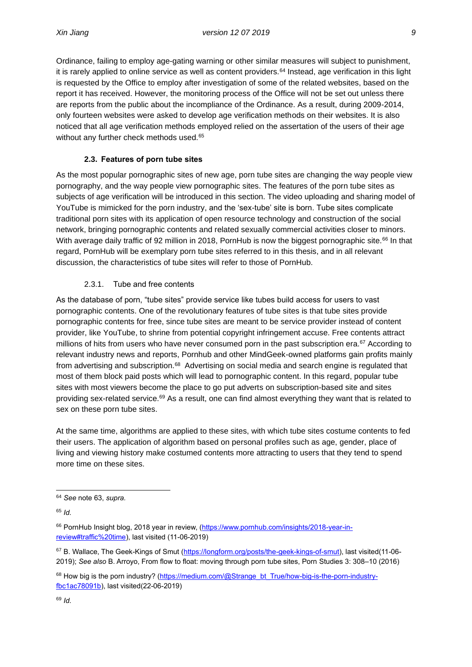Ordinance, failing to employ age-gating warning or other similar measures will subject to punishment, it is rarely applied to online service as well as content providers.<sup>64</sup> Instead, age verification in this light is requested by the Office to employ after investigation of some of the related websites, based on the report it has received. However, the monitoring process of the Office will not be set out unless there are reports from the public about the incompliance of the Ordinance. As a result, during 2009-2014, only fourteen websites were asked to develop age verification methods on their websites. It is also noticed that all age verification methods employed relied on the assertation of the users of their age without any further check methods used.<sup>65</sup>

### **2.3. Features of porn tube sites**

<span id="page-17-0"></span>As the most popular pornographic sites of new age, porn tube sites are changing the way people view pornography, and the way people view pornographic sites. The features of the porn tube sites as subjects of age verification will be introduced in this section. The video uploading and sharing model of YouTube is mimicked for the porn industry, and the 'sex-tube' site is born. Tube sites complicate traditional porn sites with its application of open resource technology and construction of the social network, bringing pornographic contents and related sexually commercial activities closer to minors. With average daily traffic of 92 million in 2018, PornHub is now the biggest pornographic site.<sup>66</sup> In that regard, PornHub will be exemplary porn tube sites referred to in this thesis, and in all relevant discussion, the characteristics of tube sites will refer to those of PornHub.

### 2.3.1. Tube and free contents

<span id="page-17-1"></span>As the database of porn, "tube sites" provide service like tubes build access for users to vast pornographic contents. One of the revolutionary features of tube sites is that tube sites provide pornographic contents for free, since tube sites are meant to be service provider instead of content provider, like YouTube, to shrine from potential copyright infringement accuse. Free contents attract millions of hits from users who have never consumed porn in the past subscription era.<sup>67</sup> According to relevant industry news and reports, Pornhub and other MindGeek-owned platforms gain profits mainly from advertising and subscription.<sup>68</sup> Advertising on social media and search engine is regulated that most of them block paid posts which will lead to pornographic content. In this regard, popular tube sites with most viewers become the place to go put adverts on subscription-based site and sites providing sex-related service.<sup>69</sup> As a result, one can find almost everything they want that is related to sex on these porn tube sites.

At the same time, algorithms are applied to these sites, with which tube sites costume contents to fed their users. The application of algorithm based on personal profiles such as age, gender, place of living and viewing history make costumed contents more attracting to users that they tend to spend more time on these sites.

<sup>64</sup> *See* note 63, *supra.* 

<sup>65</sup> *Id.*

<sup>66</sup> PornHub Insight blog, 2018 year in review, [\(https://www.pornhub.com/insights/2018-year-in](https://www.pornhub.com/insights/2018-year-in-review#traffic%20time)[review#traffic%20time\)](https://www.pornhub.com/insights/2018-year-in-review#traffic%20time), last visited (11-06-2019)

<sup>67</sup> B. Wallace, The Geek-Kings of Smut [\(https://longform.org/posts/the-geek-kings-of-smut\)](https://longform.org/posts/the-geek-kings-of-smut), last visited(11-06- 2019); *See also* B. Arroyo, From flow to float: moving through porn tube sites, Porn Studies 3: 308–10 (2016)

<sup>68</sup> How big is the porn industry? [\(https://medium.com/@Strange\\_bt\\_True/how-big-is-the-porn-industry](https://medium.com/@Strange_bt_True/how-big-is-the-porn-industry-fbc1ac78091b)[fbc1ac78091b\)](https://medium.com/@Strange_bt_True/how-big-is-the-porn-industry-fbc1ac78091b), last visited(22-06-2019)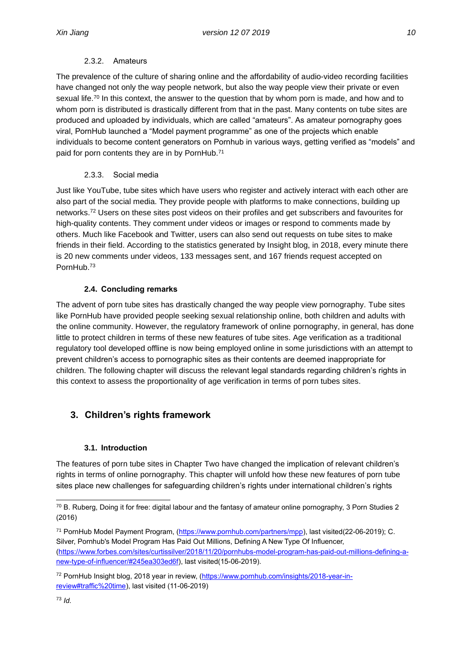### 2.3.2. Amateurs

<span id="page-18-0"></span>The prevalence of the culture of sharing online and the affordability of audio-video recording facilities have changed not only the way people network, but also the way people view their private or even sexual life.<sup>70</sup> In this context, the answer to the question that by whom porn is made, and how and to whom porn is distributed is drastically different from that in the past. Many contents on tube sites are produced and uploaded by individuals, which are called "amateurs". As amateur pornography goes viral, PornHub launched a "Model payment programme" as one of the projects which enable individuals to become content generators on Pornhub in various ways, getting verified as "models" and paid for porn contents they are in by PornHub.<sup>71</sup>

### 2.3.3. Social media

<span id="page-18-1"></span>Just like YouTube, tube sites which have users who register and actively interact with each other are also part of the social media. They provide people with platforms to make connections, building up networks.<sup>72</sup> Users on these sites post videos on their profiles and get subscribers and favourites for high-quality contents. They comment under videos or images or respond to comments made by others. Much like Facebook and Twitter, users can also send out requests on tube sites to make friends in their field. According to the statistics generated by Insight blog, in 2018, every minute there is 20 new comments under videos, 133 messages sent, and 167 friends request accepted on PornHub.<sup>73</sup>

### **2.4. Concluding remarks**

<span id="page-18-2"></span>The advent of porn tube sites has drastically changed the way people view pornography. Tube sites like PornHub have provided people seeking sexual relationship online, both children and adults with the online community. However, the regulatory framework of online pornography, in general, has done little to protect children in terms of these new features of tube sites. Age verification as a traditional regulatory tool developed offline is now being employed online in some jurisdictions with an attempt to prevent children's access to pornographic sites as their contents are deemed inappropriate for children. The following chapter will discuss the relevant legal standards regarding children's rights in this context to assess the proportionality of age verification in terms of porn tubes sites.

# <span id="page-18-3"></span>**3. Children's rights framework**

### **3.1. Introduction**

<span id="page-18-4"></span>The features of porn tube sites in Chapter Two have changed the implication of relevant children's rights in terms of online pornography. This chapter will unfold how these new features of porn tube sites place new challenges for safeguarding children's rights under international children's rights

<sup>70</sup> B. Ruberg, Doing it for free: digital labour and the fantasy of amateur online pornography, 3 Porn Studies 2 (2016)

<sup>71</sup> PornHub Model Payment Program, [\(https://www.pornhub.com/partners/mpp\)](https://www.pornhub.com/partners/mpp), last visited(22-06-2019); C. Silver, Pornhub's Model Program Has Paid Out Millions, Defining A New Type Of Influencer, [\(https://www.forbes.com/sites/curtissilver/2018/11/20/pornhubs-model-program-has-paid-out-millions-defining-a](https://www.forbes.com/sites/curtissilver/2018/11/20/pornhubs-model-program-has-paid-out-millions-defining-a-new-type-of-influencer/#245ea303ed6f)[new-type-of-influencer/#245ea303ed6f\)](https://www.forbes.com/sites/curtissilver/2018/11/20/pornhubs-model-program-has-paid-out-millions-defining-a-new-type-of-influencer/#245ea303ed6f), last visited(15-06-2019).

<sup>72</sup> PornHub Insight blog, 2018 year in review, [\(https://www.pornhub.com/insights/2018-year-in](https://www.pornhub.com/insights/2018-year-in-review#traffic%20time)[review#traffic%20time\)](https://www.pornhub.com/insights/2018-year-in-review#traffic%20time), last visited (11-06-2019)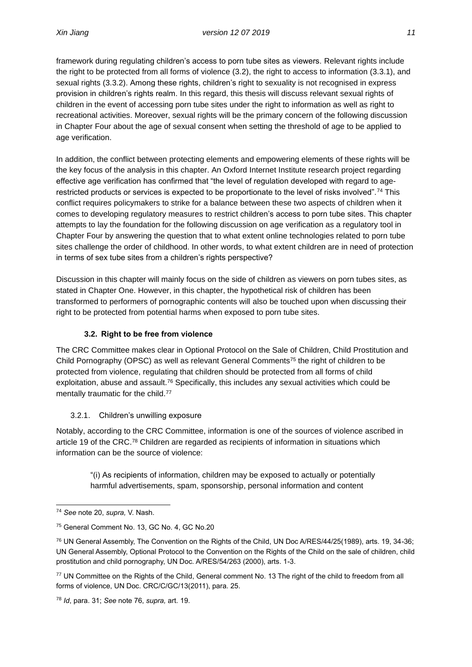framework during regulating children's access to porn tube sites as viewers. Relevant rights include the right to be protected from all forms of violence (3.2), the right to access to information (3.3.1), and sexual rights (3.3.2). Among these rights, children's right to sexuality is not recognised in express provision in children's rights realm. In this regard, this thesis will discuss relevant sexual rights of children in the event of accessing porn tube sites under the right to information as well as right to recreational activities. Moreover, sexual rights will be the primary concern of the following discussion in Chapter Four about the age of sexual consent when setting the threshold of age to be applied to age verification.

In addition, the conflict between protecting elements and empowering elements of these rights will be the key focus of the analysis in this chapter. An Oxford Internet Institute research project regarding effective age verification has confirmed that "the level of regulation developed with regard to agerestricted products or services is expected to be proportionate to the level of risks involved".<sup>74</sup> This conflict requires policymakers to strike for a balance between these two aspects of children when it comes to developing regulatory measures to restrict children's access to porn tube sites. This chapter attempts to lay the foundation for the following discussion on age verification as a regulatory tool in Chapter Four by answering the question that to what extent online technologies related to porn tube sites challenge the order of childhood. In other words, to what extent children are in need of protection in terms of sex tube sites from a children's rights perspective?

Discussion in this chapter will mainly focus on the side of children as viewers on porn tubes sites, as stated in Chapter One. However, in this chapter, the hypothetical risk of children has been transformed to performers of pornographic contents will also be touched upon when discussing their right to be protected from potential harms when exposed to porn tube sites.

### **3.2. Right to be free from violence**

<span id="page-19-0"></span>The CRC Committee makes clear in Optional Protocol on the Sale of Children, Child Prostitution and Child Pornography (OPSC) as well as relevant General Comments <sup>75</sup> the right of children to be protected from violence, regulating that children should be protected from all forms of child exploitation, abuse and assault.<sup>76</sup> Specifically, this includes any sexual activities which could be mentally traumatic for the child.<sup>77</sup>

#### 3.2.1. Children's unwilling exposure

<span id="page-19-1"></span>Notably, according to the CRC Committee, information is one of the sources of violence ascribed in article 19 of the CRC.<sup>78</sup> Children are regarded as recipients of information in situations which information can be the source of violence:

"(i) As recipients of information, children may be exposed to actually or potentially harmful advertisements, spam, sponsorship, personal information and content

<sup>74</sup> *See* note 20, *supra,* V. Nash.

<sup>75</sup> General Comment No. 13, GC No. 4, GC No.20

<sup>76</sup> UN General Assembly, The Convention on the Rights of the Child, UN Doc A/RES/44/25(1989), arts. 19, 34-36; UN General Assembly, Optional Protocol to the Convention on the Rights of the Child on the sale of children, child prostitution and child pornography, UN Doc. A/RES/54/263 (2000), arts. 1-3.

<sup>77</sup> UN Committee on the Rights of the Child, General comment No. 13 The right of the child to freedom from all forms of violence, UN Doc. CRC/C/GC/13(2011), para. 25.

<sup>78</sup> *Id*, para. 31; *See* note 76, *supra,* art. 19.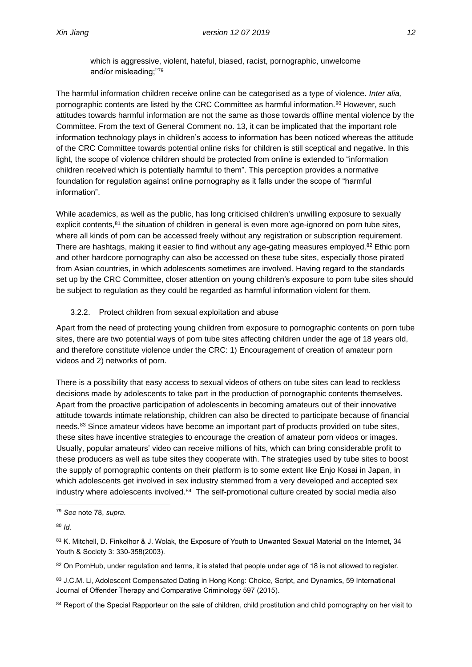which is aggressive, violent, hateful, biased, racist, pornographic, unwelcome and/or misleading;"<sup>79</sup>

The harmful information children receive online can be categorised as a type of violence. *Inter alia,*  pornographic contents are listed by the CRC Committee as harmful information.<sup>80</sup> However, such attitudes towards harmful information are not the same as those towards offline mental violence by the Committee. From the text of General Comment no. 13, it can be implicated that the important role information technology plays in children's access to information has been noticed whereas the attitude of the CRC Committee towards potential online risks for children is still sceptical and negative. In this light, the scope of violence children should be protected from online is extended to "information children received which is potentially harmful to them". This perception provides a normative foundation for regulation against online pornography as it falls under the scope of "harmful information".

While academics, as well as the public, has long criticised children's unwilling exposure to sexually explicit contents, <sup>81</sup> the situation of children in general is even more age-ignored on porn tube sites, where all kinds of porn can be accessed freely without any registration or subscription requirement. There are hashtags, making it easier to find without any age-gating measures employed.<sup>82</sup> Ethic porn and other hardcore pornography can also be accessed on these tube sites, especially those pirated from Asian countries, in which adolescents sometimes are involved. Having regard to the standards set up by the CRC Committee, closer attention on young children's exposure to porn tube sites should be subject to regulation as they could be regarded as harmful information violent for them.

#### 3.2.2. Protect children from sexual exploitation and abuse

<span id="page-20-0"></span>Apart from the need of protecting young children from exposure to pornographic contents on porn tube sites, there are two potential ways of porn tube sites affecting children under the age of 18 years old, and therefore constitute violence under the CRC: 1) Encouragement of creation of [amateur porn](https://fightthenewdrug.org/hot-girls-wanted-netflixs-raw-amateur-porn-documentary/)  [videos](https://fightthenewdrug.org/hot-girls-wanted-netflixs-raw-amateur-porn-documentary/) and 2) networks of porn.

There is a possibility that easy access to sexual videos of others on tube sites can lead to reckless decisions made by adolescents to take part in the production of pornographic contents themselves. Apart from the proactive participation of adolescents in becoming amateurs out of their innovative attitude towards intimate relationship, children can also be directed to participate because of financial needs.<sup>83</sup> Since amateur videos have become an important part of products provided on tube sites, these sites have incentive strategies to encourage the creation of amateur porn videos or images. Usually, popular amateurs' video can receive millions of hits, which can bring considerable profit to these producers as well as tube sites they cooperate with. The strategies used by tube sites to boost the supply of pornographic contents on their platform is to some extent like Enjo Kosai in Japan, in which adolescents get involved in sex industry stemmed from a very developed and accepted sex industry where adolescents involved.<sup>84</sup> The self-promotional culture created by social media also

<sup>79</sup> *See* note 78, *supra.*

<sup>80</sup> *Id.*

<sup>81</sup> K. Mitchell, D. Finkelhor & J. Wolak, the Exposure of Youth to Unwanted Sexual Material on the Internet, 34 Youth & Society 3: 330-358(2003).

<sup>82</sup> On PornHub, under regulation and terms, it is stated that people under age of 18 is not allowed to register.

<sup>83</sup> J.C.M. Li, Adolescent Compensated Dating in Hong Kong: Choice, Script, and Dynamics, 59 International Journal of Offender Therapy and Comparative Criminology 597 (2015).

<sup>&</sup>lt;sup>84</sup> Report of the Special Rapporteur on the sale of children, child prostitution and child pornography on her visit to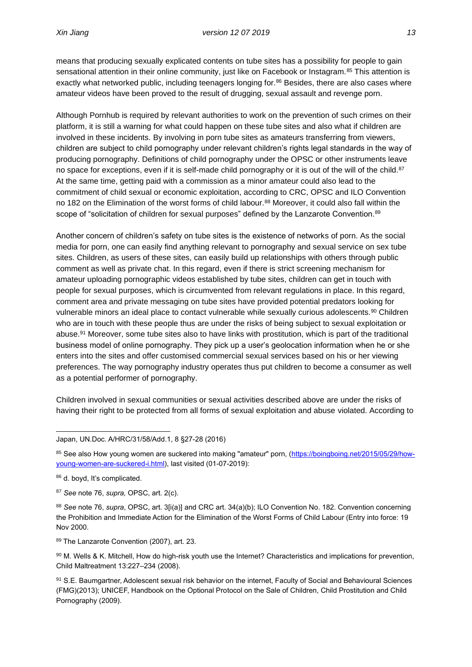means that producing sexually explicated contents on tube sites has a possibility for people to gain sensational attention in their online community, just like on Facebook or Instagram.<sup>85</sup> This attention is exactly what networked public, including teenagers longing for.<sup>86</sup> Besides, there are also cases where amateur videos have been proved to the result of drugging, sexual assault and revenge porn.

Although Pornhub is required by relevant authorities to work on the prevention of such crimes on their platform, it is still a warning for what could happen on these tube sites and also what if children are involved in these incidents. By involving in porn tube sites as amateurs transferring from viewers, children are subject to child pornography under relevant children's rights legal standards in the way of producing pornography. Definitions of child pornography under the OPSC or other instruments leave no space for exceptions, even if it is self-made child pornography or it is out of the will of the child.<sup>87</sup> At the same time, getting paid with a commission as a minor amateur could also lead to the commitment of child sexual or economic exploitation, according to CRC, OPSC and ILO Convention no 182 on the Elimination of the worst forms of child labour.<sup>88</sup> Moreover, it could also fall within the scope of "solicitation of children for sexual purposes" defined by the Lanzarote Convention.<sup>89</sup>

Another concern of children's safety on tube sites is the existence of networks of porn. As the social media for porn, one can easily find anything relevant to pornography and sexual service on sex tube sites. Children, as users of these sites, can easily build up relationships with others through public comment as well as private chat. In this regard, even if there is strict screening mechanism for amateur uploading pornographic videos established by tube sites, children can get in touch with people for sexual purposes, which is circumvented from relevant regulations in place. In this regard, comment area and private messaging on tube sites have provided potential predators looking for vulnerable minors an ideal place to contact vulnerable while sexually curious adolescents.<sup>90</sup> Children who are in touch with these people thus are under the risks of being subject to sexual exploitation or abuse.<sup>91</sup> Moreover, some tube sites also to have links with prostitution, which is part of the traditional business model of online pornography. They pick up a user's geolocation information when he or she enters into the sites and offer customised commercial sexual services based on his or her viewing preferences. The way pornography industry operates thus put children to become a consumer as well as a potential performer of pornography.

Children involved in sexual communities or sexual activities described above are under the risks of having their right to be protected from all forms of sexual exploitation and abuse violated. According to

<sup>85</sup> See also How young women are suckered into making "amateur" porn, [\(https://boingboing.net/2015/05/29/how](https://boingboing.net/2015/05/29/how-young-women-are-suckered-i.html)[young-women-are-suckered-i.html\)](https://boingboing.net/2015/05/29/how-young-women-are-suckered-i.html), last visited (01-07-2019):

86 d. boyd, It's complicated.

<sup>87</sup> *See* note 76, *supra,* OPSC, art. 2(c).

<sup>88</sup> *See* note 76, *supra*, OPSC, art. 3[i(a)] and CRC art. 34(a)(b); ILO Convention No. 182. Convention concerning the Prohibition and Immediate Action for the Elimination of the Worst Forms of Child Labour (Entry into force: 19 Nov 2000.

89 The Lanzarote Convention (2007), art. 23.

 $90$  M. Wells & K. Mitchell, How do high-risk youth use the Internet? Characteristics and implications for prevention, Child Maltreatment 13:227–234 (2008).

91 S.E. Baumgartner, Adolescent sexual risk behavior on the internet, Faculty of Social and Behavioural Sciences (FMG)(2013); UNICEF, Handbook on the Optional Protocol on the Sale of Children, Child Prostitution and Child Pornography (2009).

Japan, UN.Doc. A/HRC/31/58/Add.1, 8 §27-28 (2016)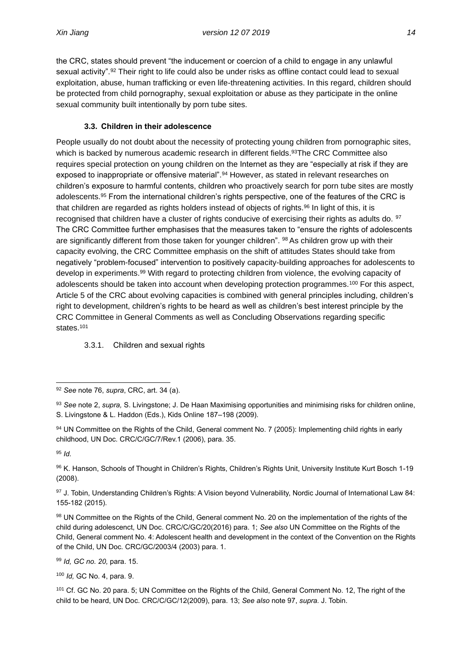the CRC, states should prevent "the inducement or coercion of a child to engage in any unlawful sexual activity".<sup>92</sup> Their right to life could also be under risks as offline contact could lead to sexual exploitation, abuse, human trafficking or even life-threatening activities. In this regard, children should be protected from child pornography, sexual exploitation or abuse as they participate in the online sexual community built intentionally by porn tube sites.

### **3.3. Children in their adolescence**

<span id="page-22-0"></span>People usually do not doubt about the necessity of protecting young children from pornographic sites, which is backed by numerous academic research in different fields.<sup>93</sup>The CRC Committee also requires special protection on young children on the Internet as they are "especially at risk if they are exposed to inappropriate or offensive material".<sup>94</sup> However, as stated in relevant researches on children's exposure to harmful contents, children who proactively search for porn tube sites are mostly adolescents.<sup>95</sup> From the international children's rights perspective, one of the features of the CRC is that children are regarded as rights holders instead of objects of rights.<sup>96</sup> In light of this, it is recognised that children have a cluster of rights conducive of exercising their rights as adults do. <sup>97</sup> The CRC Committee further emphasises that the measures taken to "ensure the rights of adolescents are significantly different from those taken for younger children". <sup>98</sup> As children grow up with their capacity evolving, the CRC Committee emphasis on the shift of attitudes States should take from negatively "problem-focused" intervention to positively capacity-building approaches for adolescents to develop in experiments.<sup>99</sup> With regard to protecting children from violence, the evolving capacity of adolescents should be taken into account when developing protection programmes.<sup>100</sup> For this aspect, Article 5 of the CRC about evolving capacities is combined with general principles including, children's right to development, children's rights to be heard as well as children's best interest principle by the CRC Committee in General Comments as well as Concluding Observations regarding specific states.<sup>101</sup>

<span id="page-22-1"></span>3.3.1. Children and sexual rights

<sup>95</sup> *Id.*

96 K. Hanson, Schools of Thought in Children's Rights, Children's Rights Unit, University Institute Kurt Bosch 1-19 (2008).

97 J. Tobin, Understanding Children's Rights: A Vision beyond Vulnerability, Nordic Journal of International Law 84: 155-182 (2015).

98 UN Committee on the Rights of the Child, General comment No. 20 on the implementation of the rights of the child during adolescenct, UN Doc. CRC/C/GC/20(2016) para. 1; *See also* UN Committee on the Rights of the Child, General comment No. 4: Adolescent health and development in the context of the Convention on the Rights of the Child, UN Doc. CRC/GC/2003/4 (2003) para. 1.

<sup>99</sup> *Id, GC no. 20,* para. 15.

<sup>100</sup> *Id,* GC No. 4, para. 9.

<sup>101</sup> Cf. GC No. 20 para. 5; UN Committee on the Rights of the Child, General Comment No. 12, The right of the child to be heard, UN Doc. CRC/C/GC/12(2009), para. 13; *See also* note 97, *supra.* J. Tobin.

<sup>92</sup> *See* note 76, *supra*, CRC, art. 34 (a).

<sup>93</sup> *See* note 2, *supra,* S. Livingstone; J. De Haan Maximising opportunities and minimising risks for children online, S. Livingstone & L. Haddon (Eds.), Kids Online 187–198 (2009).

<sup>94</sup> UN Committee on the Rights of the Child, General comment No. 7 (2005): Implementing child rights in early childhood, UN Doc. CRC/C/GC/7/Rev.1 (2006), para. 35.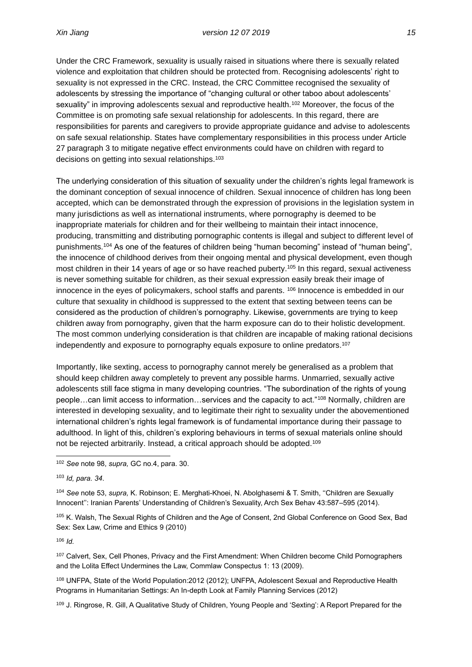Under the CRC Framework, sexuality is usually raised in situations where there is sexually related violence and exploitation that children should be protected from. Recognising adolescents' right to sexuality is not expressed in the CRC. Instead, the CRC Committee recognised the sexuality of adolescents by stressing the importance of "changing cultural or other taboo about adolescents' sexuality" in improving adolescents sexual and reproductive health.<sup>102</sup> Moreover, the focus of the Committee is on promoting safe sexual relationship for adolescents. In this regard, there are responsibilities for parents and caregivers to provide appropriate guidance and advise to adolescents on safe sexual relationship. States have complementary responsibilities in this process under Article 27 paragraph 3 to mitigate negative effect environments could have on children with regard to decisions on getting into sexual relationships.<sup>103</sup>

The underlying consideration of this situation of sexuality under the children's rights legal framework is the dominant conception of sexual innocence of children. Sexual innocence of children has long been accepted, which can be demonstrated through the expression of provisions in the legislation system in many jurisdictions as well as international instruments, where pornography is deemed to be inappropriate materials for children and for their wellbeing to maintain their intact innocence, producing, transmitting and distributing pornographic contents is illegal and subject to different level of punishments.<sup>104</sup> As one of the features of children being "human becoming" instead of "human being", the innocence of childhood derives from their ongoing mental and physical development, even though most children in their 14 years of age or so have reached puberty.<sup>105</sup> In this regard, sexual activeness is never something suitable for children, as their sexual expression easily break their image of innocence in the eyes of policymakers, school staffs and parents. <sup>106</sup> Innocence is embedded in our culture that sexuality in childhood is suppressed to the extent that sexting between teens can be considered as the production of children's pornography. Likewise, governments are trying to keep children away from pornography, given that the harm exposure can do to their holistic development. The most common underlying consideration is that children are incapable of making rational decisions independently and exposure to pornography equals exposure to online predators.<sup>107</sup>

Importantly, like sexting, access to pornography cannot merely be generalised as a problem that should keep children away completely to prevent any possible harms. Unmarried, sexually active adolescents still face stigma in many developing countries. "The subordination of the rights of young people…can limit access to information…services and the capacity to act."<sup>108</sup> Normally, children are interested in developing sexuality, and to legitimate their right to sexuality under the abovementioned international children's rights legal framework is of fundamental importance during their passage to adulthood. In light of this, children's exploring behaviours in terms of sexual materials online should not be rejected arbitrarily. Instead, a critical approach should be adopted.<sup>109</sup>

<sup>104</sup> *See* note 53, *supra,* K. Robinson; E. Merghati-Khoei, N. Abolghasemi & T. Smith, ''Children are Sexually Innocent'': Iranian Parents' Understanding of Children's Sexuality, Arch Sex Behav 43:587–595 (2014).

105 K. Walsh, The Sexual Rights of Children and the Age of Consent, 2nd Global Conference on Good Sex, Bad Sex: Sex Law, Crime and Ethics 9 (2010)

<sup>106</sup> *Id.*

<sup>107</sup> Calvert, Sex, Cell Phones, Privacy and the First Amendment: When Children become Child Pornographers and the Lolita Effect Undermines the Law, Commlaw Conspectus 1: 13 (2009).

<sup>108</sup> UNFPA, State of the World Population:2012 (2012); UNFPA, Adolescent Sexual and Reproductive Health Programs in Humanitarian Settings: An In-depth Look at Family Planning Services (2012)

<sup>109</sup> J. Ringrose, R. Gill, A Qualitative Study of Children, Young People and 'Sexting': A Report Prepared for the

<sup>102</sup> *See* note 98, *supra,* GC no.4, para. 30.

<sup>103</sup> *Id, para. 34*.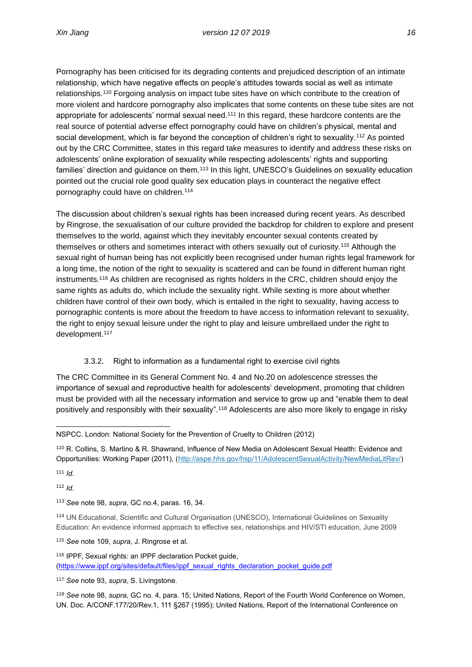Pornography has been criticised for its degrading contents and prejudiced description of an intimate relationship, which have negative effects on people's attitudes towards social as well as intimate relationships.<sup>110</sup> Forgoing analysis on impact tube sites have on which contribute to the creation of more violent and hardcore pornography also implicates that some contents on these tube sites are not appropriate for adolescents' normal sexual need.<sup>111</sup> In this regard, these hardcore contents are the real source of potential adverse effect pornography could have on children's physical, mental and social development, which is far beyond the conception of children's right to sexuality.<sup>112</sup> As pointed out by the CRC Committee, states in this regard take measures to identify and address these risks on adolescents' online exploration of sexuality while respecting adolescents' rights and supporting families' direction and quidance on them.<sup>113</sup> In this light, UNESCO's Guidelines on sexuality education pointed out the crucial role good quality sex education plays in counteract the negative effect pornography could have on children.<sup>114</sup>

The discussion about children's sexual rights has been increased during recent years. As described by Ringrose, the sexualisation of our culture provided the backdrop for children to explore and present themselves to the world, against which they inevitably encounter sexual contents created by themselves or others and sometimes interact with others sexually out of curiosity.<sup>115</sup> Although the sexual right of human being has not explicitly been recognised under human rights legal framework for a long time, the notion of the right to sexuality is scattered and can be found in different human right instruments.<sup>116</sup> As children are recognised as rights holders in the CRC, children should enjoy the same rights as adults do, which include the sexuality right. While sexting is more about whether children have control of their own body, which is entailed in the right to sexuality, having access to pornographic contents is more about the freedom to have access to information relevant to sexuality, the right to enjoy sexual leisure under the right to play and leisure umbrellaed under the right to development.<sup>117</sup>

### 3.3.2. Right to information as a fundamental right to exercise civil rights

<span id="page-24-0"></span>The CRC Committee in its General Comment No. 4 and No.20 on adolescence stresses the importance of sexual and reproductive health for adolescents' development, promoting that children must be provided with all the necessary information and service to grow up and "enable them to deal positively and responsibly with their sexuality".<sup>118</sup> Adolescents are also more likely to engage in risky

<sup>110</sup> R. Collins, S. Martino & R. Shawrand, Influence of New Media on Adolescent Sexual Health: Evidence and Opportunities: Working Paper (2011), [\(http://aspe.hhs.gov/hsp/11/AdolescentSexualActivity/NewMediaLitRev/\)](http://aspe.hhs.gov/hsp/11/AdolescentSexualActivity/NewMediaLitRev/)

<sup>111</sup> *Id.*

<sup>112</sup> *Id.*

<sup>113</sup> *See* note 98, *supra*, GC no.4, paras. 16, 34.

<sup>114</sup> UN Educational, Scientific and Cultural Organisation (UNESCO), International Guidelines on Sexuality Education: An evidence informed approach to effective sex, relationships and HIV/STI education, June 2009

<sup>115</sup> *See* note 109, *supra,* J. Ringrose et al.

<sup>116</sup> IPPF, Sexual rights: an IPPF declaration Pocket guide, [\(https://www.ippf.org/sites/default/files/ippf\\_sexual\\_rights\\_declaration\\_pocket\\_guide.pdf](https://www.ippf.org/sites/default/files/ippf_sexual_rights_declaration_pocket_guide.pdf)

<sup>117</sup> *See* note 93, *supra,* S. Livingstone*.*

<sup>118</sup> *See* note 98, *supra,* GC no. 4, para. 15; United Nations, Report of the Fourth World Conference on Women, UN. Doc. A/CONF.177/20/Rev.1, 111 §267 (1995); United Nations, Report of the International Conference on

NSPCC. London: National Society for the Prevention of Cruelty to Children (2012)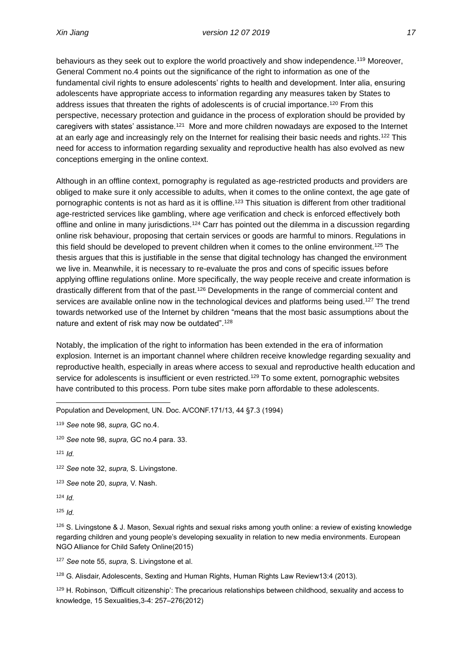behaviours as they seek out to explore the world proactively and show independence.<sup>119</sup> Moreover, General Comment no.4 points out the significance of the right to information as one of the fundamental civil rights to ensure adolescents' rights to health and development. Inter alia, ensuring adolescents have appropriate access to information regarding any measures taken by States to address issues that threaten the rights of adolescents is of crucial importance.<sup>120</sup> From this perspective, necessary protection and guidance in the process of exploration should be provided by caregivers with states' assistance.<sup>121</sup> More and more children nowadays are exposed to the Internet at an early age and increasingly rely on the Internet for realising their basic needs and rights.<sup>122</sup> This need for access to information regarding sexuality and reproductive health has also evolved as new conceptions emerging in the online context.

Although in an offline context, pornography is regulated as age-restricted products and providers are obliged to make sure it only accessible to adults, when it comes to the online context, the age gate of pornographic contents is not as hard as it is offline.<sup>123</sup> This situation is different from other traditional age-restricted services like gambling, where age verification and check is enforced effectively both offline and online in many jurisdictions.<sup>124</sup> Carr has pointed out the dilemma in a discussion regarding online risk behaviour, proposing that certain services or goods are harmful to minors. Regulations in this field should be developed to prevent children when it comes to the online environment.<sup>125</sup> The thesis argues that this is justifiable in the sense that digital technology has changed the environment we live in. Meanwhile, it is necessary to re-evaluate the pros and cons of specific issues before applying offline regulations online. More specifically, the way people receive and create information is drastically different from that of the past.<sup>126</sup> Developments in the range of commercial content and services are available online now in the technological devices and platforms being used.<sup>127</sup> The trend towards networked use of the Internet by children "means that the most basic assumptions about the nature and extent of risk may now be outdated".<sup>128</sup>

Notably, the implication of the right to information has been extended in the era of information explosion. Internet is an important channel where children receive knowledge regarding sexuality and reproductive health, especially in areas where access to sexual and reproductive health education and service for adolescents is insufficient or even restricted.<sup>129</sup> To some extent, pornographic websites have contributed to this process. Porn tube sites make porn affordable to these adolescents.

Population and Development, UN. Doc. A/CONF.171/13, 44 §7.3 (1994)

- <sup>120</sup> *See* note 98, *supra,* GC no.4 para. 33.
- <sup>121</sup> *Id.*

<sup>122</sup> *See* note 32, *supra,* S. Livingstone.

- <sup>123</sup> *See* note 20, *supra,* V. Nash.
- <sup>124</sup> *Id.*

<sup>125</sup> *Id.*

<sup>126</sup> S. Livingstone & J. Mason, Sexual rights and sexual risks among youth online: a review of existing knowledge regarding children and young people's developing sexuality in relation to new media environments. European NGO Alliance for Child Safety Online(2015)

<sup>127</sup> *See* note 55, *supra,* S. Livingstone et al.

<sup>128</sup> G. Alisdair, Adolescents, Sexting and Human Rights, Human Rights Law Review13:4 (2013).

<sup>129</sup> H. Robinson, 'Difficult citizenship': The precarious relationships between childhood, sexuality and access to knowledge, 15 Sexualities,3-4: 257–276(2012)

<sup>119</sup> *See* note 98, *supra,* GC no.4.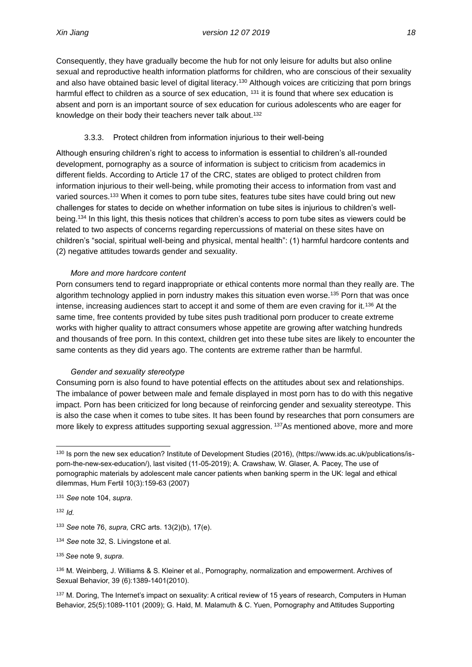Consequently, they have gradually become the hub for not only leisure for adults but also online sexual and reproductive health information platforms for children, who are conscious of their sexuality and also have obtained basic level of digital literacy.<sup>130</sup> Although voices are criticizing that porn brings harmful effect to children as a source of sex education,  $131$  it is found that where sex education is absent and porn is an important source of sex education for curious adolescents who are eager for knowledge on their body their teachers never talk about.<sup>132</sup>

### 3.3.3. Protect children from information injurious to their well-being

<span id="page-26-0"></span>Although ensuring children's right to access to information is essential to children's all-rounded development, pornography as a source of information is subject to criticism from academics in different fields. According to Article 17 of the CRC, states are obliged to protect children from information injurious to their well-being, while promoting their access to information from vast and varied sources.<sup>133</sup> When it comes to porn tube sites, features tube sites have could bring out new challenges for states to decide on whether information on tube sites is injurious to children's wellbeing.<sup>134</sup> In this light, this thesis notices that children's access to porn tube sites as viewers could be related to two aspects of concerns regarding repercussions of material on these sites have on children's "social, spiritual well-being and physical, mental health": (1) harmful hardcore contents and (2) negative attitudes towards gender and sexuality.

#### *More and more hardcore content*

Porn consumers tend to regard inappropriate or ethical contents more normal than they really are. The algorithm technology applied in porn industry makes this situation even worse.<sup>135</sup> Porn that was once intense, increasing audiences start to accept it and some of them are even craving for it.<sup>136</sup> At the same time, free contents provided by tube sites push traditional porn producer to create extreme works with higher quality to attract consumers whose appetite are growing after watching hundreds and thousands of free porn. In this context, children get into these tube sites are likely to encounter the same contents as they did years ago. The contents are extreme rather than be harmful.

#### *Gender and sexuality stereotype*

Consuming porn is also found to have potential effects on the attitudes about sex and relationships. The imbalance of power between male and female displayed in most porn has to do with this negative impact. Porn has been criticized for long because of reinforcing gender and sexuality stereotype. This is also the case when it comes to tube sites. It has been found by researches that porn consumers are more likely to express attitudes supporting sexual aggression. <sup>137</sup>As mentioned above, more and more

<sup>132</sup> *Id.*

- <sup>133</sup> *See* note 76, *supra,* CRC arts. 13(2)(b), 17(e).
- <sup>134</sup> *See* note 32, S. Livingstone et al.
- <sup>135</sup> *See* note 9, *supra*.

136 M. Weinberg, J. Williams & S. Kleiner et al., Pornography, normalization and empowerment. Archives of Sexual Behavior, 39 (6):1389-1401(2010).

137 M. Doring, The Internet's impact on sexuality: A critical review of 15 years of research, Computers in Human Behavior, 25(5):1089-1101 (2009); G. Hald, M. Malamuth & C. Yuen, Pornography and Attitudes Supporting

<sup>130</sup> Is porn the new sex education? Institute of Development Studies (2016), (https://www.ids.ac.uk/publications/isporn-the-new-sex-education/), last visited (11-05-2019); A. Crawshaw, W. Glaser, A. Pacey, The use of pornographic materials by adolescent male cancer patients when banking sperm in the UK: legal and ethical dilemmas, Hum Fertil 10(3):159-63 (2007)

<sup>131</sup> *See* note 104, *supra*.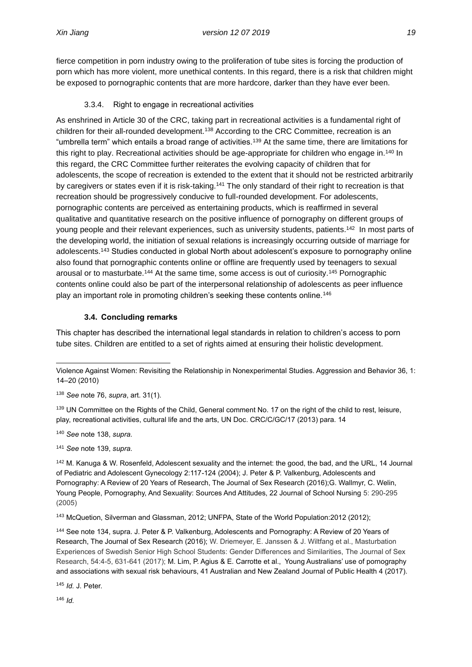fierce competition in porn industry owing to the proliferation of tube sites is forcing the production of porn which has more violent, more unethical contents. In this regard, there is a risk that children might be exposed to pornographic contents that are more hardcore, darker than they have ever been.

### 3.3.4. Right to engage in recreational activities

<span id="page-27-0"></span>As enshrined in Article 30 of the CRC, taking part in recreational activities is a fundamental right of children for their all-rounded development.<sup>138</sup> According to the CRC Committee, recreation is an "umbrella term" which entails a broad range of activities.<sup>139</sup> At the same time, there are limitations for this right to play. Recreational activities should be age-appropriate for children who engage in.<sup>140</sup> In this regard, the CRC Committee further reiterates the evolving capacity of children that for adolescents, the scope of recreation is extended to the extent that it should not be restricted arbitrarily by caregivers or states even if it is risk-taking.<sup>141</sup> The only standard of their right to recreation is that recreation should be progressively conducive to full-rounded development. For adolescents, pornographic contents are perceived as entertaining products, which is reaffirmed in several qualitative and quantitative research on the positive influence of pornography on different groups of young people and their relevant experiences, such as university students, patients.<sup>142</sup> In most parts of the developing world, the initiation of sexual relations is increasingly occurring outside of marriage for adolescents.<sup>143</sup> Studies conducted in global North about adolescent's exposure to pornography online also found that pornographic contents online or offline are frequently used by teenagers to sexual arousal or to masturbate.<sup>144</sup> At the same time, some access is out of curiosity.<sup>145</sup> Pornographic contents online could also be part of the interpersonal relationship of adolescents as peer influence play an important role in promoting children's seeking these contents online.<sup>146</sup>

### **3.4. Concluding remarks**

<span id="page-27-1"></span>This chapter has described the international legal standards in relation to children's access to porn tube sites. Children are entitled to a set of rights aimed at ensuring their holistic development.

Violence Against Women: Revisiting the Relationship in Nonexperimental Studies. Aggression and Behavior 36, 1: 14–20 (2010)

<sup>138</sup> *See* note 76, *supra*, art. 31(1).

139 UN Committee on the Rights of the Child, General comment No. 17 on the right of the child to rest, leisure, play, recreational activities, cultural life and the arts, UN Doc. CRC/C/GC/17 (2013) para. 14

<sup>140</sup> *See* note 138, *supra.*

<sup>141</sup> *See* note 139, *supra.*

142 M. Kanuga & W. Rosenfeld, Adolescent sexuality and the internet: the good, the bad, and the URL, 14 Journal of Pediatric and Adolescent Gynecology 2:117-124 (2004); J. Peter & P. Valkenburg, Adolescents and Pornography: A Review of 20 Years of Research, The Journal of Sex Research (2016);G. Wallmyr, C. Welin, Young People, Pornography, And Sexuality: Sources And Attitudes, 22 Journal of School Nursing 5: 290-295 (2005)

<sup>143</sup> McQuetion, Silverman and Glassman, 2012; UNFPA, State of the World Population:2012 (2012);

<sup>144</sup> See note 134, supra. J. Peter & P. Valkenburg, Adolescents and Pornography: A Review of 20 Years of Research, The Journal of Sex Research (2016); W. Driemeyer, E. Janssen & J. Wiltfang et al., Masturbation Experiences of Swedish Senior High School Students: Gender Differences and Similarities, The Journal of Sex Research, 54:4-5, 631-641 (2017); M. Lim, P. Agius & E. Carrotte et al., Young Australians' use of pornography and associations with sexual risk behaviours, 41 Australian and New Zealand Journal of Public Health 4 (2017).

<sup>145</sup> *Id.* J. Peter.

<sup>146</sup> *Id.*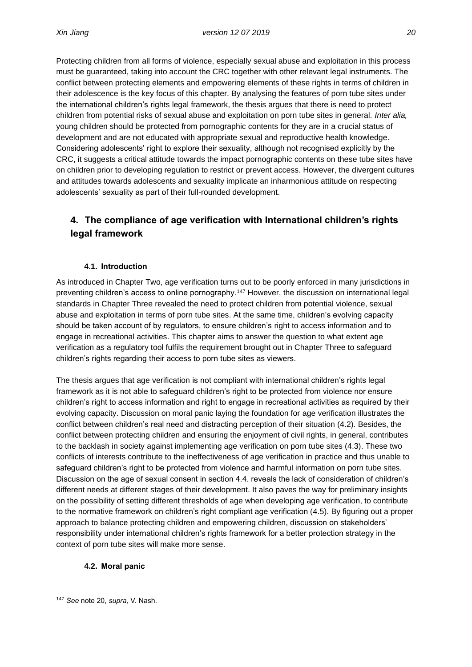Protecting children from all forms of violence, especially sexual abuse and exploitation in this process must be guaranteed, taking into account the CRC together with other relevant legal instruments. The conflict between protecting elements and empowering elements of these rights in terms of children in their adolescence is the key focus of this chapter. By analysing the features of porn tube sites under the international children's rights legal framework, the thesis argues that there is need to protect children from potential risks of sexual abuse and exploitation on porn tube sites in general. *Inter alia,* young children should be protected from pornographic contents for they are in a crucial status of development and are not educated with appropriate sexual and reproductive health knowledge. Considering adolescents' right to explore their sexuality, although not recognised explicitly by the CRC, it suggests a critical attitude towards the impact pornographic contents on these tube sites have on children prior to developing regulation to restrict or prevent access. However, the divergent cultures and attitudes towards adolescents and sexuality implicate an inharmonious attitude on respecting adolescents' sexuality as part of their full-rounded development.

# **4. The compliance of age verification with International children's rights legal framework**

### **4.1. Introduction**

<span id="page-28-0"></span>As introduced in Chapter Two, age verification turns out to be poorly enforced in many jurisdictions in preventing children's access to online pornography.<sup>147</sup> However, the discussion on international legal standards in Chapter Three revealed the need to protect children from potential violence, sexual abuse and exploitation in terms of porn tube sites. At the same time, children's evolving capacity should be taken account of by regulators, to ensure children's right to access information and to engage in recreational activities. This chapter aims to answer the question to what extent age verification as a regulatory tool fulfils the requirement brought out in Chapter Three to safeguard children's rights regarding their access to porn tube sites as viewers.

The thesis argues that age verification is not compliant with international children's rights legal framework as it is not able to safeguard children's right to be protected from violence nor ensure children's right to access information and right to engage in recreational activities as required by their evolving capacity. Discussion on moral panic laying the foundation for age verification illustrates the conflict between children's real need and distracting perception of their situation (4.2). Besides, the conflict between protecting children and ensuring the enjoyment of civil rights, in general, contributes to the backlash in society against implementing age verification on porn tube sites (4.3). These two conflicts of interests contribute to the ineffectiveness of age verification in practice and thus unable to safeguard children's right to be protected from violence and harmful information on porn tube sites. Discussion on the age of sexual consent in section 4.4. reveals the lack of consideration of children's different needs at different stages of their development. It also paves the way for preliminary insights on the possibility of setting different thresholds of age when developing age verification, to contribute to the normative framework on children's right compliant age verification (4.5). By figuring out a proper approach to balance protecting children and empowering children, discussion on stakeholders' responsibility under international children's rights framework for a better protection strategy in the context of porn tube sites will make more sense.

#### <span id="page-28-1"></span>**4.2. Moral panic**

<sup>147</sup> *See* note 20, *supra,* V. Nash*.*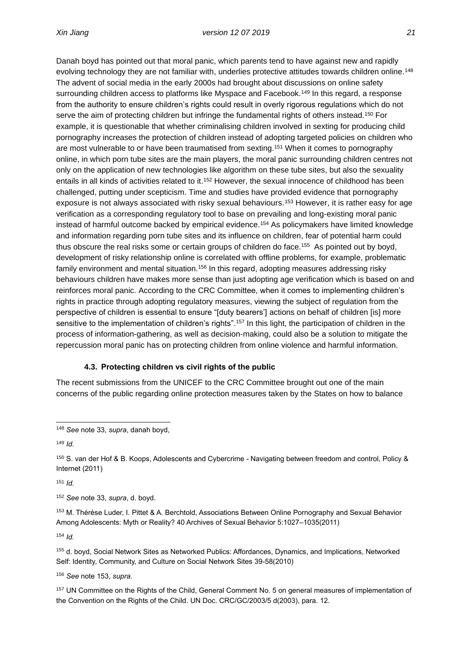Danah boyd has pointed out that moral panic, which parents tend to have against new and rapidly evolving technology they are not familiar with, underlies protective attitudes towards children online.<sup>148</sup> The advent of social media in the early 2000s had brought about discussions on online safety surrounding children access to platforms like Myspace and Facebook.<sup>149</sup> In this regard, a response from the authority to ensure children's rights could result in overly rigorous regulations which do not serve the aim of protecting children but infringe the fundamental rights of others instead.<sup>150</sup> For example, it is questionable that whether criminalising children involved in sexting for producing child pornography increases the protection of children instead of adopting targeted policies on children who are most vulnerable to or have been traumatised from sexting.<sup>151</sup> When it comes to pornography online, in which porn tube sites are the main players, the moral panic surrounding children centres not only on the application of new technologies like algorithm on these tube sites, but also the sexuality entails in all kinds of activities related to it.<sup>152</sup> However, the sexual innocence of childhood has been challenged, putting under scepticism. Time and studies have provided evidence that pornography exposure is not always associated with risky sexual behaviours.<sup>153</sup> However, it is rather easy for age verification as a corresponding regulatory tool to base on prevailing and long-existing moral panic instead of harmful outcome backed by empirical evidence.<sup>154</sup> As policymakers have limited knowledge and information regarding porn tube sites and its influence on children, fear of potential harm could thus obscure the real risks some or certain groups of children do face.<sup>155</sup> As pointed out by boyd, development of risky relationship online is correlated with offline problems, for example, problematic family environment and mental situation.<sup>156</sup> In this regard, adopting measures addressing risky behaviours children have makes more sense than just adopting age verification which is based on and reinforces moral panic. According to the CRC Committee, when it comes to implementing children's rights in practice through adopting regulatory measures, viewing the subject of regulation from the perspective of children is essential to ensure "[duty bearers'] actions on behalf of children [is] more sensitive to the implementation of children's rights".<sup>157</sup> In this light, the participation of children in the process of information-gathering, as well as decision-making, could also be a solution to mitigate the repercussion moral panic has on protecting children from online violence and harmful information.

#### **4.3. Protecting children vs civil rights of the public**

<span id="page-29-0"></span>The recent submissions from the UNICEF to the CRC Committee brought out one of the main concerns of the public regarding online protection measures taken by the States on how to balance

<sup>149</sup> *Id.*

<sup>151</sup> *Id.*

<sup>152</sup> *See* note 33, *supra*, d. boyd.

<sup>153</sup> M. Thérèse Luder, I. Pittet & A. Berchtold, Associations Between Online Pornography and Sexual Behavior Among Adolescents: Myth or Reality? 40 Archives of Sexual Behavior 5:1027–1035(2011)

<sup>154</sup> *Id.* 

<sup>155</sup> d. boyd, Social Network Sites as Networked Publics: Affordances, Dynamics, and Implications, Networked Self: Identity, Community, and Culture on Social Network Sites 39-58(2010)

<sup>156</sup> *See* note 153, *supra.*

<sup>157</sup> UN Committee on the Rights of the Child, General Comment No. 5 on general measures of implementation of the Convention on the Rights of the Child. UN Doc. CRC/GC/2003/5 d(2003), para. 12.

<sup>148</sup> *See* note 33, *supra*, danah boyd,

<sup>150</sup> S. van der Hof & B. Koops, Adolescents and Cybercrime - Navigating between freedom and control, Policy & Internet (2011)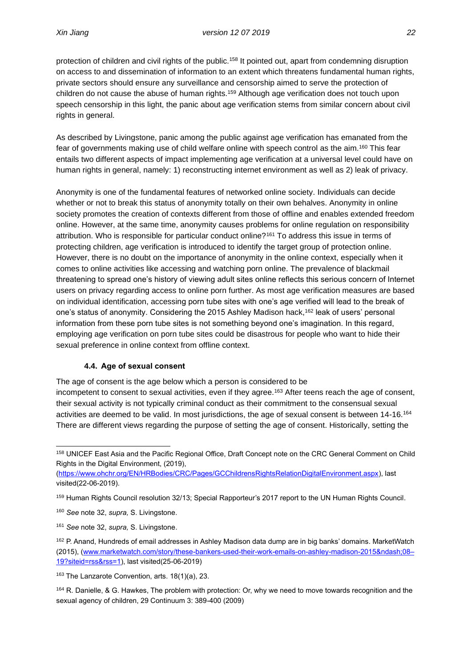protection of children and civil rights of the public.<sup>158</sup> It pointed out, apart from condemning disruption on access to and dissemination of information to an extent which threatens fundamental human rights, private sectors should ensure any surveillance and censorship aimed to serve the protection of children do not cause the abuse of human rights.<sup>159</sup> Although age verification does not touch upon speech censorship in this light, the panic about age verification stems from similar concern about civil rights in general.

As described by Livingstone, panic among the public against age verification has emanated from the fear of governments making use of child welfare online with speech control as the aim.<sup>160</sup> This fear entails two different aspects of impact implementing age verification at a universal level could have on human rights in general, namely: 1) reconstructing internet environment as well as 2) leak of privacy.

Anonymity is one of the fundamental features of networked online society. Individuals can decide whether or not to break this status of anonymity totally on their own behalves. Anonymity in online society promotes the creation of contexts different from those of offline and enables extended freedom online. However, at the same time, anonymity causes problems for online regulation on responsibility attribution. Who is responsible for particular conduct online?<sup>161</sup> To address this issue in terms of protecting children, age verification is introduced to identify the target group of protection online. However, there is no doubt on the importance of anonymity in the online context, especially when it comes to online activities like accessing and watching porn online. The prevalence of blackmail threatening to spread one's history of viewing adult sites online reflects this serious concern of Internet users on privacy regarding access to online porn further. As most age verification measures are based on individual identification, accessing porn tube sites with one's age verified will lead to the break of one's status of anonymity. Considering the 2015 Ashley Madison hack,<sup>162</sup> leak of users' personal information from these porn tube sites is not something beyond one's imagination. In this regard, employing age verification on porn tube sites could be disastrous for people who want to hide their sexual preference in online context from offline context.

#### **4.4. Age of sexual consent**

<span id="page-30-0"></span>The age of consent is the age below which a person is considered to be incompetent to consent to sexual activities, even if they agree.<sup>163</sup> After teens reach the age of consent, their sexual activity is not typically criminal conduct as their commitment to the consensual sexual activities are deemed to be valid. In most jurisdictions, the age of sexual consent is between 14-16.<sup>164</sup> There are different views regarding the purpose of setting the age of consent. Historically, setting the

<sup>158</sup> UNICEF East Asia and the Pacific Regional Office, Draft Concept note on the CRC General Comment on Child Rights in the Digital Environment, (2019),

[<sup>\(</sup>https://www.ohchr.org/EN/HRBodies/CRC/Pages/GCChildrensRightsRelationDigitalEnvironment.aspx\)](https://www.ohchr.org/EN/HRBodies/CRC/Pages/GCChildrensRightsRelationDigitalEnvironment.aspx), last visited(22-06-2019).

<sup>159</sup> Human Rights Council resolution 32/13; Special Rapporteur's 2017 report to the UN Human Rights Council.

<sup>160</sup> *See* note 32, *supra,* S. Livingstone.

<sup>161</sup> *See* note 32, *supra,* S. Livingstone.

<sup>162</sup> P. Anand, Hundreds of email addresses in Ashley Madison data dump are in big banks' domains. MarketWatch (2015), (www.marketwatch.com/story/these-bankers-used-their-work-emails-on-ashley-madison-2015–08-[19?siteid=rss&rss=1\)](http://www.marketwatch.com/story/these-bankers-used-their-work-emails-on-ashley-madison-2015–08–19?siteid=rss&rss=1), last visited(25-06-2019)

<sup>163</sup> The Lanzarote Convention, arts. 18(1)(a), 23.

<sup>&</sup>lt;sup>164</sup> R. Danielle, & G. Hawkes, The problem with protection: Or, why we need to move towards recognition and the sexual agency of children, 29 Continuum 3: 389-400 (2009)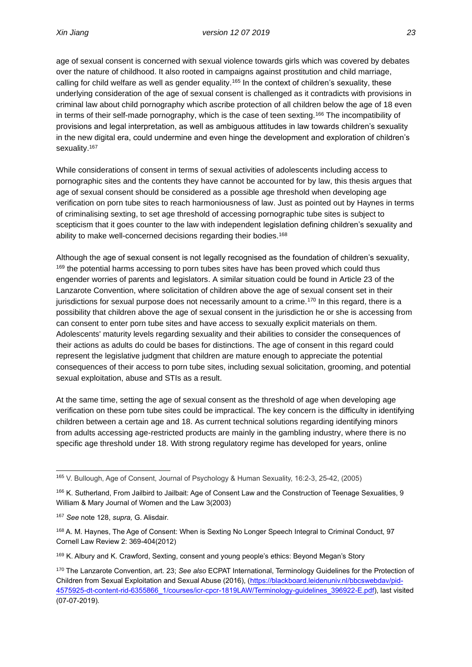age of sexual consent is concerned with sexual violence towards girls which was covered by debates over the nature of childhood. It also rooted in campaigns against prostitution and child marriage, calling for child welfare as well as gender equality.<sup>165</sup> In the context of children's sexuality, these underlying consideration of the age of sexual consent is challenged as it contradicts with provisions in criminal law about child pornography which ascribe protection of all children below the age of 18 even in terms of their self-made pornography, which is the case of teen sexting.<sup>166</sup> The incompatibility of provisions and legal interpretation, as well as ambiguous attitudes in law towards children's sexuality in the new digital era, could undermine and even hinge the development and exploration of children's sexuality.<sup>167</sup>

While considerations of consent in terms of sexual activities of adolescents including access to pornographic sites and the contents they have cannot be accounted for by law, this thesis argues that age of sexual consent should be considered as a possible age threshold when developing age verification on porn tube sites to reach harmoniousness of law. Just as pointed out by Haynes in terms of criminalising sexting, to set age threshold of accessing pornographic tube sites is subject to scepticism that it goes counter to the law with independent legislation defining children's sexuality and ability to make well-concerned decisions regarding their bodies.<sup>168</sup>

Although the age of sexual consent is not legally recognised as the foundation of children's sexuality, <sup>169</sup> the potential harms accessing to porn tubes sites have has been proved which could thus engender worries of parents and legislators. A similar situation could be found in Article 23 of the Lanzarote Convention, where solicitation of children above the age of sexual consent set in their jurisdictions for sexual purpose does not necessarily amount to a crime.<sup>170</sup> In this regard, there is a possibility that children above the age of sexual consent in the jurisdiction he or she is accessing from can consent to enter porn tube sites and have access to sexually explicit materials on them. Adolescents' maturity levels regarding sexuality and their abilities to consider the consequences of their actions as adults do could be bases for distinctions. The age of consent in this regard could represent the legislative judgment that children are mature enough to appreciate the potential consequences of their access to porn tube sites, including sexual solicitation, grooming, and potential sexual exploitation, abuse and STIs as a result.

At the same time, setting the age of sexual consent as the threshold of age when developing age verification on these porn tube sites could be impractical. The key concern is the difficulty in identifying children between a certain age and 18. As current technical solutions regarding identifying minors from adults accessing age-restricted products are mainly in the gambling industry, where there is no specific age threshold under 18. With strong regulatory regime has developed for years, online

<sup>165</sup> V. Bullough, Age of Consent, Journal of Psychology & Human Sexuality, 16:2-3, 25-42, (2005)

<sup>166</sup> K. Sutherland, From Jailbird to Jailbait: Age of Consent Law and the Construction of Teenage Sexualities, 9 William & Mary Journal of Women and the Law 3(2003)

<sup>167</sup> *See* note 128, *supra,* G. Alisdair.

<sup>168</sup> A. M. Haynes, The Age of Consent: When is Sexting No Longer Speech Integral to Criminal Conduct, 97 Cornell Law Review 2: 369-404(2012)

<sup>&</sup>lt;sup>169</sup> K. Albury and K. Crawford, Sexting, consent and young people's ethics: Beyond Megan's Story

<sup>170</sup> The Lanzarote Convention, art. 23; *See also* ECPAT International, Terminology Guidelines for the Protection of Children from Sexual Exploitation and Sexual Abuse (2016), [\(https://blackboard.leidenuniv.nl/bbcswebdav/pid-](https://blackboard.leidenuniv.nl/bbcswebdav/pid-4575925-dt-content-rid-6355866_1/courses/icr-cpcr-1819LAW/Terminology-guidelines_396922-E.pdf)[4575925-dt-content-rid-6355866\\_1/courses/icr-cpcr-1819LAW/Terminology-guidelines\\_396922-E.pdf\)](https://blackboard.leidenuniv.nl/bbcswebdav/pid-4575925-dt-content-rid-6355866_1/courses/icr-cpcr-1819LAW/Terminology-guidelines_396922-E.pdf), last visited (07-07-2019).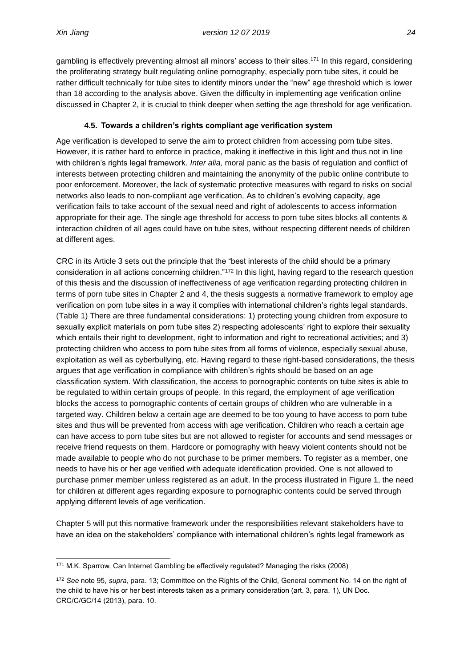gambling is effectively preventing almost all minors' access to their sites.<sup>171</sup> In this regard, considering the proliferating strategy built regulating online pornography, especially porn tube sites, it could be rather difficult technically for tube sites to identify minors under the "new" age threshold which is lower than 18 according to the analysis above. Given the difficulty in implementing age verification online discussed in Chapter 2, it is crucial to think deeper when setting the age threshold for age verification.

### **4.5. Towards a children's rights compliant age verification system**

<span id="page-32-0"></span>Age verification is developed to serve the aim to protect children from accessing porn tube sites. However, it is rather hard to enforce in practice, making it ineffective in this light and thus not in line with children's rights legal framework. *Inter alia,* moral panic as the basis of regulation and conflict of interests between protecting children and maintaining the anonymity of the public online contribute to poor enforcement. Moreover, the lack of systematic protective measures with regard to risks on social networks also leads to non-compliant age verification. As to children's evolving capacity, age verification fails to take account of the sexual need and right of adolescents to access information appropriate for their age. The single age threshold for access to porn tube sites blocks all contents & interaction children of all ages could have on tube sites, without respecting different needs of children at different ages.

CRC in its Article 3 sets out the principle that the "best interests of the child should be a primary consideration in all actions concerning children."<sup>172</sup> In this light, having regard to the research question of this thesis and the discussion of ineffectiveness of age verification regarding protecting children in terms of porn tube sites in Chapter 2 and 4, the thesis suggests a normative framework to employ age verification on porn tube sites in a way it complies with international children's rights legal standards. (Table 1) There are three fundamental considerations: 1) protecting young children from exposure to sexually explicit materials on porn tube sites 2) respecting adolescents' right to explore their sexuality which entails their right to development, right to information and right to recreational activities; and 3) protecting children who access to porn tube sites from all forms of violence, especially sexual abuse, exploitation as well as cyberbullying, etc. Having regard to these right-based considerations, the thesis argues that age verification in compliance with children's rights should be based on an age classification system. With classification, the access to pornographic contents on tube sites is able to be regulated to within certain groups of people. In this regard, the employment of age verification blocks the access to pornographic contents of certain groups of children who are vulnerable in a targeted way. Children below a certain age are deemed to be too young to have access to porn tube sites and thus will be prevented from access with age verification. Children who reach a certain age can have access to porn tube sites but are not allowed to register for accounts and send messages or receive friend requests on them. Hardcore or pornography with heavy violent contents should not be made available to people who do not purchase to be primer members. To register as a member, one needs to have his or her age verified with adequate identification provided. One is not allowed to purchase primer member unless registered as an adult. In the process illustrated in Figure 1, the need for children at different ages regarding exposure to pornographic contents could be served through applying different levels of age verification.

Chapter 5 will put this normative framework under the responsibilities relevant stakeholders have to have an idea on the stakeholders' compliance with international children's rights legal framework as

<sup>171</sup> M.K. Sparrow, Can Internet Gambling be effectively regulated? Managing the risks (2008)

<sup>172</sup> *See* note 95, *supra,* para. 13; Committee on the Rights of the Child, General comment No. 14 on the right of the child to have his or her best interests taken as a primary consideration (art. 3, para. 1), UN Doc. CRC/C/GC/14 (2013), para. 10.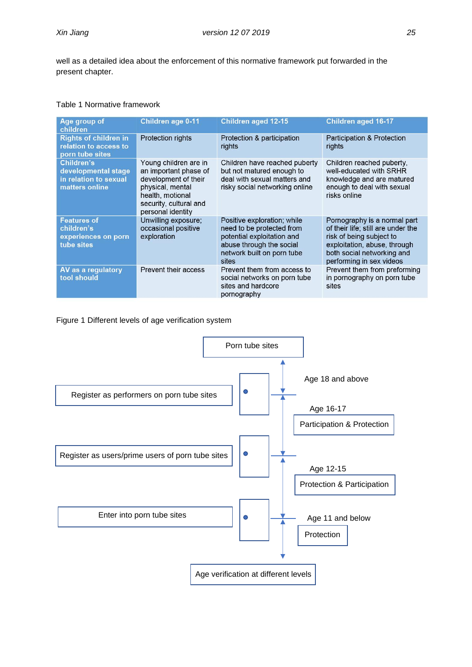well as a detailed idea about the enforcement of this normative framework put forwarded in the present chapter.

#### Table 1 Normative framework

| Age group of<br>children                                                     | Children age 0-11                                                                                                                                             | <b>Children aged 12-15</b>                                                                                                                                | <b>Children aged 16-17</b>                                                                                                                                                               |
|------------------------------------------------------------------------------|---------------------------------------------------------------------------------------------------------------------------------------------------------------|-----------------------------------------------------------------------------------------------------------------------------------------------------------|------------------------------------------------------------------------------------------------------------------------------------------------------------------------------------------|
| <b>Rights of children in</b><br>relation to access to<br>porn tube sites     | Protection rights                                                                                                                                             | Protection & participation<br>rights                                                                                                                      | Participation & Protection<br>rights                                                                                                                                                     |
| Children's<br>developmental stage<br>in relation to sexual<br>matters online | Young children are in<br>an important phase of<br>development of their<br>physical, mental<br>health, motional<br>security, cultural and<br>personal identity | Children have reached puberty<br>but not matured enough to<br>deal with sexual matters and<br>risky social networking online                              | Children reached puberty,<br>well-educated with SRHR<br>knowledge and are matured<br>enough to deal with sexual<br>risks online                                                          |
| <b>Features of</b><br>children's<br>experiences on porn<br>tube sites        | Unwilling exposure;<br>occasional positive<br>exploration                                                                                                     | Positive exploration; while<br>need to be protected from<br>potential exploitation and<br>abuse through the social<br>network built on porn tube<br>sites | Pornography is a normal part<br>of their life; still are under the<br>risk of being subject to<br>exploitation, abuse, through<br>both social networking and<br>performing in sex videos |
| AV as a regulatory<br>tool should                                            | Prevent their access                                                                                                                                          | Prevent them from access to<br>social networks on porn tube<br>sites and hardcore<br>pornography                                                          | Prevent them from preforming<br>in pornography on porn tube<br>sites                                                                                                                     |

Figure 1 Different levels of age verification system

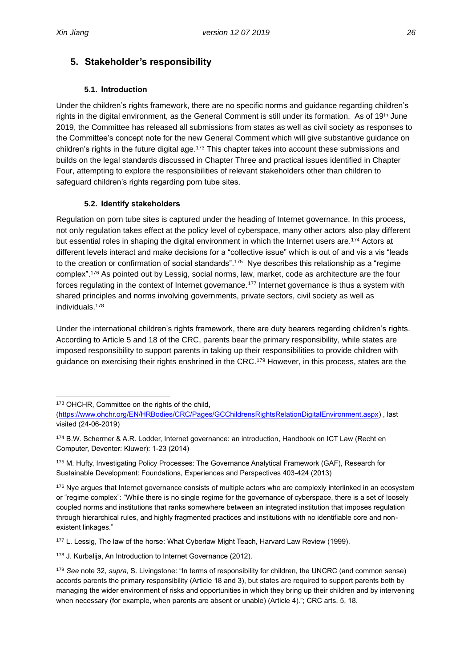## <span id="page-34-0"></span>**5. Stakeholder's responsibility**

#### **5.1. Introduction**

<span id="page-34-1"></span>Under the children's rights framework, there are no specific norms and guidance regarding children's rights in the digital environment, as the General Comment is still under its formation. As of 19th June 2019, the Committee has released all submissions from states as well as civil society as responses to the Committee's concept note for the new General Comment which will give substantive guidance on children's rights in the future digital age.<sup>173</sup> This chapter takes into account these submissions and builds on the legal standards discussed in Chapter Three and practical issues identified in Chapter Four, attempting to explore the responsibilities of relevant stakeholders other than children to safeguard children's rights regarding porn tube sites.

### **5.2. Identify stakeholders**

<span id="page-34-2"></span>Regulation on porn tube sites is captured under the heading of Internet governance. In this process, not only regulation takes effect at the policy level of cyberspace, many other actors also play different but essential roles in shaping the digital environment in which the Internet users are.<sup>174</sup> Actors at different levels interact and make decisions for a "collective issue" which is out of and vis a vis "leads to the creation or confirmation of social standards".<sup>175</sup> Nye describes this relationship as a "regime complex".<sup>176</sup> As pointed out by Lessig, social norms, law, market, code as architecture are the four forces regulating in the context of Internet governance.<sup>177</sup> Internet governance is thus a system with shared principles and norms involving governments, private sectors, civil society as well as individuals. 178

Under the international children's rights framework, there are duty bearers regarding children's rights. According to Article 5 and 18 of the CRC, parents bear the primary responsibility, while states are imposed responsibility to support parents in taking up their responsibilities to provide children with guidance on exercising their rights enshrined in the CRC.<sup>179</sup> However, in this process, states are the

<sup>177</sup> L. Lessig, The law of the horse: What Cyberlaw Might Teach, Harvard Law Review (1999).

<sup>178</sup> J. Kurbalija, An Introduction to Internet Governance (2012).

<sup>173</sup> OHCHR. Committee on the rights of the child,

[<sup>\(</sup>https://www.ohchr.org/EN/HRBodies/CRC/Pages/GCChildrensRightsRelationDigitalEnvironment.aspx\)](https://www.ohchr.org/EN/HRBodies/CRC/Pages/GCChildrensRightsRelationDigitalEnvironment.aspx) , last visited (24-06-2019)

<sup>174</sup> B.W. Schermer & A.R. Lodder, Internet governance: an introduction, Handbook on ICT Law (Recht en Computer, Deventer: Kluwer): 1-23 (2014)

<sup>175</sup> M. Hufty, Investigating Policy Processes: The Governance Analytical Framework (GAF), Research for Sustainable Development: Foundations, Experiences and Perspectives 403-424 (2013)

<sup>&</sup>lt;sup>176</sup> Nye argues that Internet governance consists of multiple actors who are complexly interlinked in an ecosystem or "regime complex": "While there is no single regime for the governance of cyberspace, there is a set of loosely coupled norms and institutions that ranks somewhere between an integrated institution that imposes regulation through hierarchical rules, and highly fragmented practices and institutions with no identifiable core and nonexistent linkages."

<sup>179</sup> *See* note 32, *supra,* S. Livingstone: "In terms of responsibility for children, the UNCRC (and common sense) accords parents the primary responsibility (Article 18 and 3), but states are required to support parents both by managing the wider environment of risks and opportunities in which they bring up their children and by intervening when necessary (for example, when parents are absent or unable) (Article 4)."; CRC arts. 5, 18.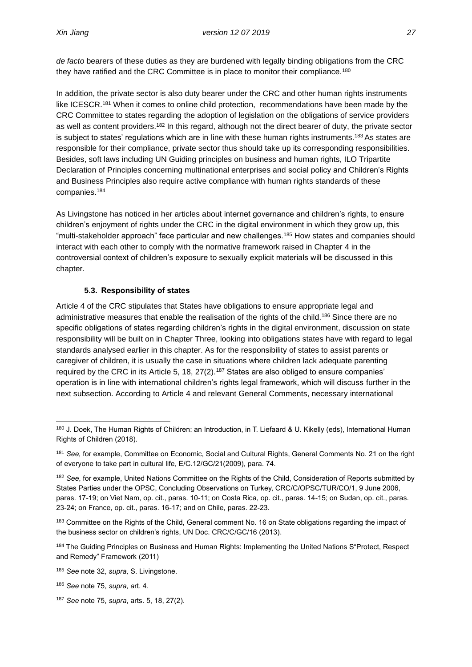*de facto* bearers of these duties as they are burdened with legally binding obligations from the CRC they have ratified and the CRC Committee is in place to monitor their compliance.<sup>180</sup>

In addition, the private sector is also duty bearer under the CRC and other human rights instruments like ICESCR.<sup>181</sup> When it comes to online child protection, recommendations have been made by the CRC Committee to states regarding the adoption of legislation on the obligations of service providers as well as content providers.<sup>182</sup> In this regard, although not the direct bearer of duty, the private sector is subject to states' regulations which are in line with these human rights instruments.<sup>183</sup> As states are responsible for their compliance, private sector thus should take up its corresponding responsibilities. Besides, soft laws including UN Guiding principles on business and human rights, ILO Tripartite Declaration of Principles concerning multinational enterprises and social policy and Children's Rights and Business Principles also require active compliance with human rights standards of these companies.<sup>184</sup>

As Livingstone has noticed in her articles about internet governance and children's rights, to ensure children's enjoyment of rights under the CRC in the digital environment in which they grow up, this "multi-stakeholder approach" face particular and new challenges.<sup>185</sup> How states and companies should interact with each other to comply with the normative framework raised in Chapter 4 in the controversial context of children's exposure to sexually explicit materials will be discussed in this chapter.

#### **5.3. Responsibility of states**

<span id="page-35-0"></span>Article 4 of the CRC stipulates that States have obligations to ensure appropriate legal and administrative measures that enable the realisation of the rights of the child.<sup>186</sup> Since there are no specific obligations of states regarding children's rights in the digital environment, discussion on state responsibility will be built on in Chapter Three, looking into obligations states have with regard to legal standards analysed earlier in this chapter. As for the responsibility of states to assist parents or caregiver of children, it is usually the case in situations where children lack adequate parenting required by the CRC in its Article 5, 18,  $27(2)$ .<sup>187</sup> States are also obliged to ensure companies' operation is in line with international children's rights legal framework, which will discuss further in the next subsection. According to Article 4 and relevant General Comments, necessary international

<sup>180</sup> J. Doek, The Human Rights of Children: an Introduction, in T. Liefaard & U. Kikelly (eds), International Human Rights of Children (2018).

<sup>181</sup> *See,* for example, Committee on Economic, Social and Cultural Rights, General Comments No. 21 on the right of everyone to take part in cultural life, E/C.12/GC/21(2009), para. 74.

<sup>182</sup> *See*, for example, United Nations Committee on the Rights of the Child, Consideration of Reports submitted by States Parties under the OPSC, Concluding Observations on Turkey, CRC/C/OPSC/TUR/CO/1, 9 June 2006, paras. 17-19; on Viet Nam, op. cit., paras. 10-11; on Costa Rica, op. cit., paras. 14-15; on Sudan, op. cit., paras. 23-24; on France, op. cit., paras. 16-17; and on Chile, paras. 22-23.

<sup>&</sup>lt;sup>183</sup> Committee on the Rights of the Child, General comment No. 16 on State obligations regarding the impact of the business sector on children's rights, UN Doc. CRC/C/GC/16 (2013).

<sup>184</sup> The Guiding Principles on Business and Human Rights: Implementing the United Nations S"Protect, Respect and Remedy" Framework (2011)

<sup>185</sup> *See* note 32, *supra,* S. Livingstone.

<sup>186</sup> *See* note 75, *supra, a*rt. 4.

<sup>187</sup> *See* note 75, *supra*, arts. 5, 18, 27(2).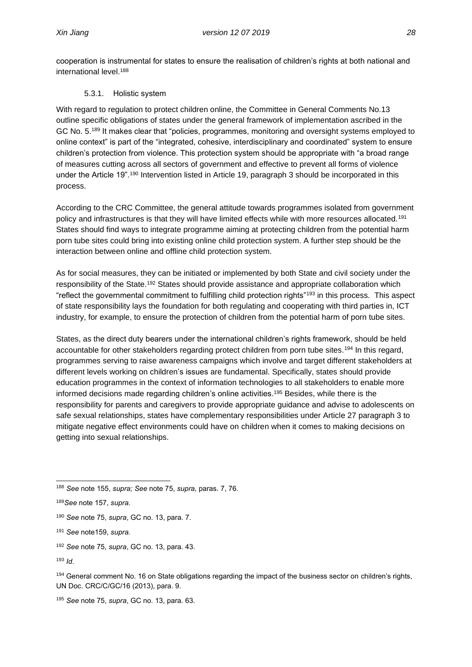cooperation is instrumental for states to ensure the realisation of children's rights at both national and international level.<sup>188</sup>

#### 5.3.1. Holistic system

<span id="page-36-0"></span>With regard to regulation to protect children online, the Committee in General Comments No.13 outline specific obligations of states under the general framework of implementation ascribed in the GC No. 5.<sup>189</sup> It makes clear that "policies, programmes, monitoring and oversight systems employed to online context" is part of the "integrated, cohesive, interdisciplinary and coordinated" system to ensure children's protection from violence. This protection system should be appropriate with "a broad range of measures cutting across all sectors of government and effective to prevent all forms of violence under the Article 19".<sup>190</sup> Intervention listed in Article 19, paragraph 3 should be incorporated in this process.

According to the CRC Committee, the general attitude towards programmes isolated from government policy and infrastructures is that they will have limited effects while with more resources allocated.<sup>191</sup> States should find ways to integrate programme aiming at protecting children from the potential harm porn tube sites could bring into existing online child protection system. A further step should be the interaction between online and offline child protection system.

As for social measures, they can be initiated or implemented by both State and civil society under the responsibility of the State.<sup>192</sup> States should provide assistance and appropriate collaboration which "reflect the governmental commitment to fulfilling child protection rights"<sup>193</sup> in this process. This aspect of state responsibility lays the foundation for both regulating and cooperating with third parties in, ICT industry, for example, to ensure the protection of children from the potential harm of porn tube sites.

States, as the direct duty bearers under the international children's rights framework, should be held accountable for other stakeholders regarding protect children from porn tube sites.<sup>194</sup> In this regard, programmes serving to raise awareness campaigns which involve and target different stakeholders at different levels working on children's issues are fundamental. Specifically, states should provide education programmes in the context of information technologies to all stakeholders to enable more informed decisions made regarding children's online activities.<sup>195</sup> Besides, while there is the responsibility for parents and caregivers to provide appropriate guidance and advise to adolescents on safe sexual relationships, states have complementary responsibilities under Article 27 paragraph 3 to mitigate negative effect environments could have on children when it comes to making decisions on getting into sexual relationships.

<sup>190</sup> *See* note 75, *supra*, GC no. 13, para. 7.

- <sup>192</sup> *See* note 75, *supra*, GC no. 13, para. 43.
- <sup>193</sup> *Id*.

<sup>188</sup> *See* note 155, *supra; See* note 75, *supra,* paras. 7, 76.

<sup>189</sup>*See* note 157, *supra.*

<sup>191</sup> *See* note159, *supra.*

<sup>194</sup> General comment No. 16 on State obligations regarding the impact of the business sector on children's rights, UN Doc. CRC/C/GC/16 (2013), para. 9.

<sup>195</sup> *See* note 75, *supra*, GC no. 13, para. 63.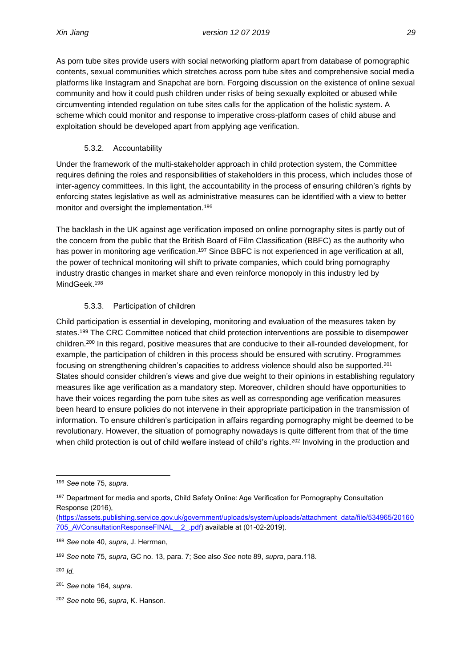As porn tube sites provide users with social networking platform apart from database of pornographic contents, sexual communities which stretches across porn tube sites and comprehensive social media platforms like Instagram and Snapchat are born. Forgoing discussion on the existence of online sexual community and how it could push children under risks of being sexually exploited or abused while circumventing intended regulation on tube sites calls for the application of the holistic system. A scheme which could monitor and response to imperative cross-platform cases of child abuse and exploitation should be developed apart from applying age verification.

### 5.3.2. Accountability

<span id="page-37-0"></span>Under the framework of the multi-stakeholder approach in child protection system, the Committee requires defining the roles and responsibilities of stakeholders in this process, which includes those of inter-agency committees. In this light, the accountability in the process of ensuring children's rights by enforcing states legislative as well as administrative measures can be identified with a view to better monitor and oversight the implementation.<sup>196</sup>

The backlash in the UK against age verification imposed on online pornography sites is partly out of the concern from the public that the British Board of Film Classification (BBFC) as the authority who has power in monitoring age verification.<sup>197</sup> Since BBFC is not experienced in age verification at all, the power of technical monitoring will shift to private companies, which could bring pornography industry drastic changes in market share and even reinforce monopoly in this industry led by MindGeek.<sup>198</sup>

### 5.3.3. Participation of children

<span id="page-37-1"></span>Child participation is essential in developing, monitoring and evaluation of the measures taken by states.<sup>199</sup> The CRC Committee noticed that child protection interventions are possible to disempower children.<sup>200</sup> In this regard, positive measures that are conducive to their all-rounded development, for example, the participation of children in this process should be ensured with scrutiny. Programmes focusing on strengthening children's capacities to address violence should also be supported.<sup>201</sup> States should consider children's views and give due weight to their opinions in establishing regulatory measures like age verification as a mandatory step. Moreover, children should have opportunities to have their voices regarding the porn tube sites as well as corresponding age verification measures been heard to ensure policies do not intervene in their appropriate participation in the transmission of information. To ensure children's participation in affairs regarding pornography might be deemed to be revolutionary. However, the situation of pornography nowadays is quite different from that of the time when child protection is out of child welfare instead of child's rights.<sup>202</sup> Involving in the production and

<sup>196</sup> *See* note 75, *supra*.

<sup>&</sup>lt;sup>197</sup> Department for media and sports, Child Safety Online: Age Verification for Pornography Consultation Response (2016),

[<sup>\(</sup>https://assets.publishing.service.gov.uk/government/uploads/system/uploads/attachment\\_data/file/534965/20160](https://assets.publishing.service.gov.uk/government/uploads/system/uploads/attachment_data/file/534965/20160705_AVConsultationResponseFINAL__2_.pdf) [705\\_AVConsultationResponseFINAL\\_\\_2\\_.pdf\)](https://assets.publishing.service.gov.uk/government/uploads/system/uploads/attachment_data/file/534965/20160705_AVConsultationResponseFINAL__2_.pdf) available at (01-02-2019).

<sup>198</sup> *See* note 40, *supra,* J. Herrman,

<sup>199</sup> *See* note 75, *supra*, GC no. 13, para. 7; See also *See* note 89, *supra*, para.118.

<sup>200</sup> *Id.*

<sup>201</sup> *See* note 164, *supra*.

<sup>202</sup> *See* note 96, *supra*, K. Hanson.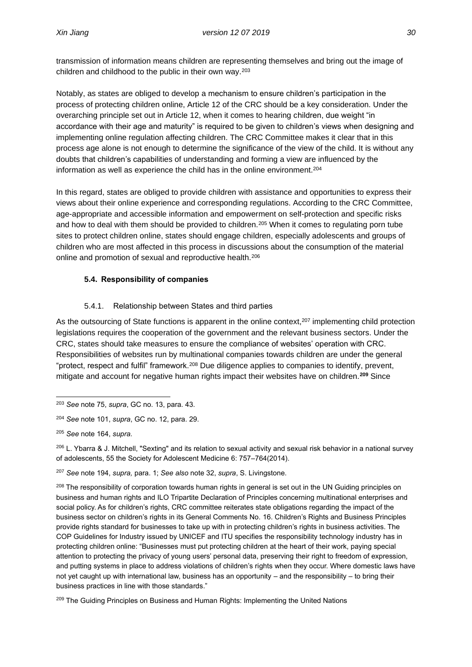transmission of information means children are representing themselves and bring out the image of children and childhood to the public in their own way.<sup>203</sup>

Notably, as states are obliged to develop a mechanism to ensure children's participation in the process of protecting children online, Article 12 of the CRC should be a key consideration. Under the overarching principle set out in Article 12, when it comes to hearing children, due weight "in accordance with their age and maturity" is required to be given to children's views when designing and implementing online regulation affecting children. The CRC Committee makes it clear that in this process age alone is not enough to determine the significance of the view of the child. It is without any doubts that children's capabilities of understanding and forming a view are influenced by the information as well as experience the child has in the online environment.<sup>204</sup>

In this regard, states are obliged to provide children with assistance and opportunities to express their views about their online experience and corresponding regulations. According to the CRC Committee, age-appropriate and accessible information and empowerment on self-protection and specific risks and how to deal with them should be provided to children.<sup>205</sup> When it comes to regulating porn tube sites to protect children online, states should engage children, especially adolescents and groups of children who are most affected in this process in discussions about the consumption of the material online and promotion of sexual and reproductive health.<sup>206</sup>

### <span id="page-38-0"></span>**5.4. Responsibility of companies**

### 5.4.1. Relationship between States and third parties

<span id="page-38-1"></span>As the outsourcing of State functions is apparent in the online context, $207$  implementing child protection legislations requires the cooperation of the government and the relevant business sectors. Under the CRC, states should take measures to ensure the compliance of websites' operation with CRC. Responsibilities of websites run by multinational companies towards children are under the general "protect, respect and fulfil" framework.<sup>208</sup> Due diligence applies to companies to identify, prevent, mitigate and account for negative human rights impact their websites have on children.**<sup>209</sup>** Since

<sup>203</sup> *See* note 75, *supra*, GC no. 13, para. 43.

<sup>204</sup> *See* note 101, *supra*, GC no. 12, para. 29.

<sup>205</sup> *See* note 164, *supra.*

 $206$  L. Ybarra & J. Mitchell, "Sexting" and its relation to sexual activity and sexual risk behavior in a national survey of adolescents, 55 the Society for Adolescent Medicine 6: 757–764(2014).

<sup>207</sup> *See* note 194, *supra,* para. 1; *See also* note 32, *supra*, S. Livingstone.

<sup>&</sup>lt;sup>208</sup> The responsibility of corporation towards human rights in general is set out in the UN Guiding principles on business and human rights and ILO Tripartite Declaration of Principles concerning multinational enterprises and social policy. As for children's rights, CRC committee reiterates state obligations regarding the impact of the business sector on children's rights in its General Comments No. 16. Children's Rights and Business Principles provide rights standard for businesses to take up with in protecting children's rights in business activities. The COP Guidelines for Industry issued by UNICEF and ITU specifies the responsibility technology industry has in protecting children online: "Businesses must put protecting children at the heart of their work, paying special attention to protecting the privacy of young users' personal data, preserving their right to freedom of expression, and putting systems in place to address violations of children's rights when they occur. Where domestic laws have not yet caught up with international law, business has an opportunity – and the responsibility – to bring their business practices in line with those standards."

<sup>&</sup>lt;sup>209</sup> The Guiding Principles on Business and Human Rights: Implementing the United Nations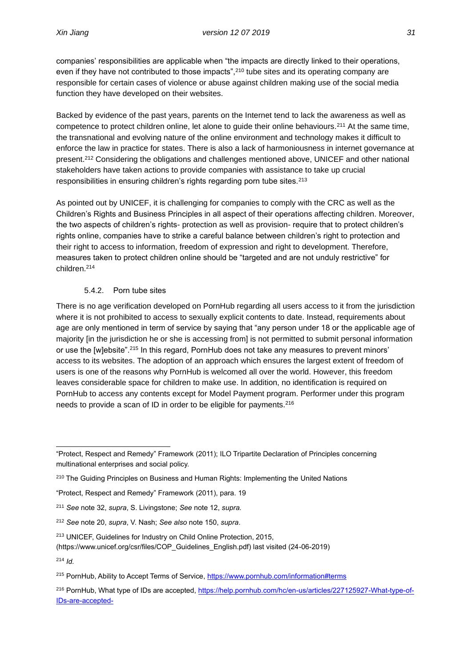companies' responsibilities are applicable when "the impacts are directly linked to their operations, even if they have not contributed to those impacts",<sup>210</sup> tube sites and its operating company are responsible for certain cases of violence or abuse against children making use of the social media function they have developed on their websites.

Backed by evidence of the past years, parents on the Internet tend to lack the awareness as well as competence to protect children online, let alone to guide their online behaviours.<sup>211</sup> At the same time, the transnational and evolving nature of the online environment and technology makes it difficult to enforce the law in practice for states. There is also a lack of harmoniousness in internet governance at present.<sup>212</sup> Considering the obligations and challenges mentioned above, UNICEF and other national stakeholders have taken actions to provide companies with assistance to take up crucial responsibilities in ensuring children's rights regarding porn tube sites.<sup>213</sup>

As pointed out by UNICEF, it is challenging for companies to comply with the CRC as well as the Children's Rights and Business Principles in all aspect of their operations affecting children. Moreover, the two aspects of children's rights- protection as well as provision- require that to protect children's rights online, companies have to strike a careful balance between children's right to protection and their right to access to information, freedom of expression and right to development. Therefore, measures taken to protect children online should be "targeted and are not unduly restrictive" for children.<sup>214</sup>

#### 5.4.2. Porn tube sites

<span id="page-39-0"></span>There is no age verification developed on PornHub regarding all users access to it from the jurisdiction where it is not prohibited to access to sexually explicit contents to date. Instead, requirements about age are only mentioned in term of service by saying that "any person under 18 or the applicable age of majority [in the jurisdiction he or she is accessing from] is not permitted to submit personal information or use the [w]ebsite".<sup>215</sup> In this regard, PornHub does not take any measures to prevent minors' access to its websites. The adoption of an approach which ensures the largest extent of freedom of users is one of the reasons why PornHub is welcomed all over the world. However, this freedom leaves considerable space for children to make use. In addition, no identification is required on PornHub to access any contents except for Model Payment program. Performer under this program needs to provide a scan of ID in order to be eligible for payments.<sup>216</sup>

<sup>&</sup>quot;Protect, Respect and Remedy" Framework (2011); ILO Tripartite Declaration of Principles concerning multinational enterprises and social policy.

<sup>&</sup>lt;sup>210</sup> The Guiding Principles on Business and Human Rights: Implementing the United Nations

<sup>&</sup>quot;Protect, Respect and Remedy" Framework (2011), para. 19

<sup>211</sup> *See* note 32, *supra*, S. Livingstone; *See* note 12, *supra.*

<sup>212</sup> *See* note 20, *supra*, V. Nash; *See also* note 150, *supra*.

<sup>213</sup> UNICEF, Guidelines for Industry on Child Online Protection, 2015,

<sup>(</sup>https://www.unicef.org/csr/files/COP\_Guidelines\_English.pdf) last visited (24-06-2019)

<sup>214</sup> *Id.*

<sup>&</sup>lt;sup>215</sup> PornHub, Ability to Accept Terms of Service[, https://www.pornhub.com/information#terms](https://www.pornhub.com/information#terms)

<sup>&</sup>lt;sup>216</sup> PornHub, What type of IDs are accepted, [https://help.pornhub.com/hc/en-us/articles/227125927-What-type-of-](https://help.pornhub.com/hc/en-us/articles/227125927-What-type-of-IDs-are-accepted-)[IDs-are-accepted-](https://help.pornhub.com/hc/en-us/articles/227125927-What-type-of-IDs-are-accepted-)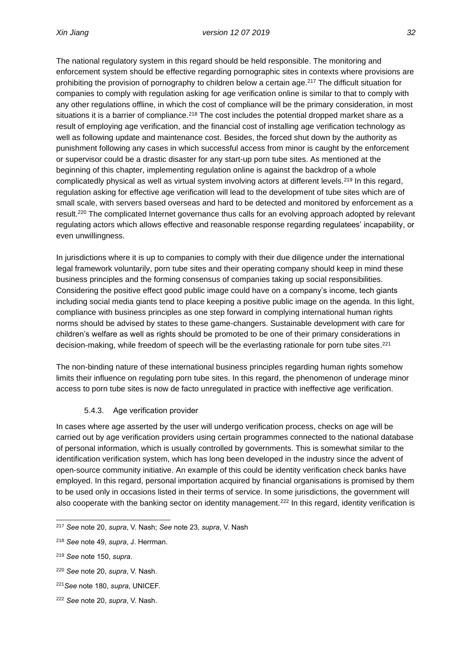The national regulatory system in this regard should be held responsible. The monitoring and enforcement system should be effective regarding pornographic sites in contexts where provisions are prohibiting the provision of pornography to children below a certain age.<sup>217</sup> The difficult situation for companies to comply with regulation asking for age verification online is similar to that to comply with any other regulations offline, in which the cost of compliance will be the primary consideration, in most situations it is a barrier of compliance.<sup>218</sup> The cost includes the potential dropped market share as a result of employing age verification, and the financial cost of installing age verification technology as well as following update and maintenance cost. Besides, the forced shut down by the authority as punishment following any cases in which successful access from minor is caught by the enforcement or supervisor could be a drastic disaster for any start-up porn tube sites. As mentioned at the beginning of this chapter, implementing regulation online is against the backdrop of a whole complicatedly physical as well as virtual system involving actors at different levels.<sup>219</sup> In this regard, regulation asking for effective age verification will lead to the development of tube sites which are of small scale, with servers based overseas and hard to be detected and monitored by enforcement as a result.<sup>220</sup> The complicated Internet governance thus calls for an evolving approach adopted by relevant regulating actors which allows effective and reasonable response regarding regulatees' incapability, or even unwillingness.

In jurisdictions where it is up to companies to comply with their due diligence under the international legal framework voluntarily, porn tube sites and their operating company should keep in mind these business principles and the forming consensus of companies taking up social responsibilities. Considering the positive effect good public image could have on a company's income, tech giants including social media giants tend to place keeping a positive public image on the agenda. In this light, compliance with business principles as one step forward in complying international human rights norms should be advised by states to these game-changers. Sustainable development with care for children's welfare as well as rights should be promoted to be one of their primary considerations in decision-making, while freedom of speech will be the everlasting rationale for porn tube sites.<sup>221</sup>

The non-binding nature of these international business principles regarding human rights somehow limits their influence on regulating porn tube sites. In this regard, the phenomenon of underage minor access to porn tube sites is now de facto unregulated in practice with ineffective age verification.

### 5.4.3. Age verification provider

<span id="page-40-0"></span>In cases where age asserted by the user will undergo verification process, checks on age will be carried out by age verification providers using certain programmes connected to the national database of personal information, which is usually controlled by governments. This is somewhat similar to the identification verification system, which has long been developed in the industry since the advent of open-source community initiative. An example of this could be identity verification check banks have employed. In this regard, personal importation acquired by financial organisations is promised by them to be used only in occasions listed in their terms of service. In some jurisdictions, the government will also cooperate with the banking sector on identity management.<sup>222</sup> In this regard, identity verification is

<sup>217</sup> *See* note 20, *supra*, V. Nash; *See* note 23, *supra*, V. Nash

<sup>218</sup> *See* note 49, *supra*, J. Herrman.

<sup>219</sup> *See* note 150, *supra*.

<sup>220</sup> *See* note 20, *supra*, V. Nash.

<sup>221</sup>*See* note 180, *supra*, UNICEF.

<sup>222</sup> *See* note 20, *supra*, V. Nash.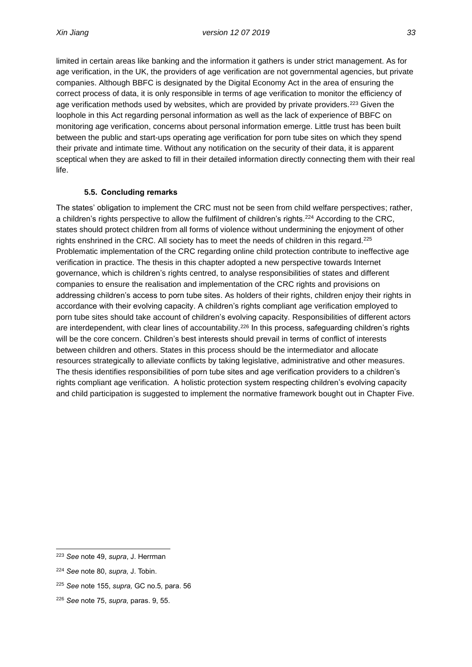life.

limited in certain areas like banking and the information it gathers is under strict management. As for age verification, in the UK, the providers of age verification are not governmental agencies, but private companies. Although BBFC is designated by the Digital Economy Act in the area of ensuring the correct process of data, it is only responsible in terms of age verification to monitor the efficiency of age verification methods used by websites, which are provided by private providers.<sup>223</sup> Given the loophole in this Act regarding personal information as well as the lack of experience of BBFC on monitoring age verification, concerns about personal information emerge. Little trust has been built between the public and start-ups operating age verification for porn tube sites on which they spend their private and intimate time. Without any notification on the security of their data, it is apparent sceptical when they are asked to fill in their detailed information directly connecting them with their real

### **5.5. Concluding remarks**

<span id="page-41-0"></span>The states' obligation to implement the CRC must not be seen from child welfare perspectives; rather, a children's rights perspective to allow the fulfilment of children's rights.<sup>224</sup> According to the CRC, states should protect children from all forms of violence without undermining the enjoyment of other rights enshrined in the CRC. All society has to meet the needs of children in this regard.<sup>225</sup> Problematic implementation of the CRC regarding online child protection contribute to ineffective age verification in practice. The thesis in this chapter adopted a new perspective towards Internet governance, which is children's rights centred, to analyse responsibilities of states and different companies to ensure the realisation and implementation of the CRC rights and provisions on addressing children's access to porn tube sites. As holders of their rights, children enjoy their rights in accordance with their evolving capacity. A children's rights compliant age verification employed to porn tube sites should take account of children's evolving capacity. Responsibilities of different actors are interdependent, with clear lines of accountability.<sup>226</sup> In this process, safequarding children's rights will be the core concern. Children's best interests should prevail in terms of conflict of interests between children and others. States in this process should be the intermediator and allocate resources strategically to alleviate conflicts by taking legislative, administrative and other measures. The thesis identifies responsibilities of porn tube sites and age verification providers to a children's rights compliant age verification. A holistic protection system respecting children's evolving capacity and child participation is suggested to implement the normative framework bought out in Chapter Five.

<sup>223</sup> *See* note 49, *supra*, J. Herrman

<sup>224</sup> *See* note 80, *supra,* J. Tobin.

<sup>225</sup> *See* note 155, *supra,* GC no.5*,* para. 56

<sup>226</sup> *See* note 75, *supra,* paras. 9, 55.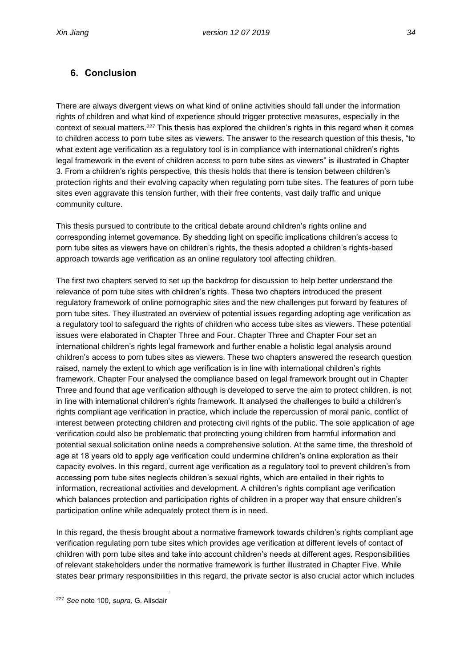## <span id="page-42-0"></span>**6. Conclusion**

There are always divergent views on what kind of online activities should fall under the information rights of children and what kind of experience should trigger protective measures, especially in the context of sexual matters.<sup>227</sup> This thesis has explored the children's rights in this regard when it comes to children access to porn tube sites as viewers. The answer to the research question of this thesis, "to what extent age verification as a regulatory tool is in compliance with international children's rights legal framework in the event of children access to porn tube sites as viewers" is illustrated in Chapter 3. From a children's rights perspective, this thesis holds that there is tension between children's protection rights and their evolving capacity when regulating porn tube sites. The features of porn tube sites even aggravate this tension further, with their free contents, vast daily traffic and unique community culture.

This thesis pursued to contribute to the critical debate around children's rights online and corresponding internet governance. By shedding light on specific implications children's access to porn tube sites as viewers have on children's rights, the thesis adopted a children's rights-based approach towards age verification as an online regulatory tool affecting children.

The first two chapters served to set up the backdrop for discussion to help better understand the relevance of porn tube sites with children's rights. These two chapters introduced the present regulatory framework of online pornographic sites and the new challenges put forward by features of porn tube sites. They illustrated an overview of potential issues regarding adopting age verification as a regulatory tool to safeguard the rights of children who access tube sites as viewers. These potential issues were elaborated in Chapter Three and Four. Chapter Three and Chapter Four set an international children's rights legal framework and further enable a holistic legal analysis around children's access to porn tubes sites as viewers. These two chapters answered the research question raised, namely the extent to which age verification is in line with international children's rights framework. Chapter Four analysed the compliance based on legal framework brought out in Chapter Three and found that age verification although is developed to serve the aim to protect children, is not in line with international children's rights framework. It analysed the challenges to build a children's rights compliant age verification in practice, which include the repercussion of moral panic, conflict of interest between protecting children and protecting civil rights of the public. The sole application of age verification could also be problematic that protecting young children from harmful information and potential sexual solicitation online needs a comprehensive solution. At the same time, the threshold of age at 18 years old to apply age verification could undermine children's online exploration as their capacity evolves. In this regard, current age verification as a regulatory tool to prevent children's from accessing porn tube sites neglects children's sexual rights, which are entailed in their rights to information, recreational activities and development. A children's rights compliant age verification which balances protection and participation rights of children in a proper way that ensure children's participation online while adequately protect them is in need.

In this regard, the thesis brought about a normative framework towards children's rights compliant age verification regulating porn tube sites which provides age verification at different levels of contact of children with porn tube sites and take into account children's needs at different ages. Responsibilities of relevant stakeholders under the normative framework is further illustrated in Chapter Five. While states bear primary responsibilities in this regard, the private sector is also crucial actor which includes

<sup>227</sup> *See* note 100, *supra,* G. Alisdair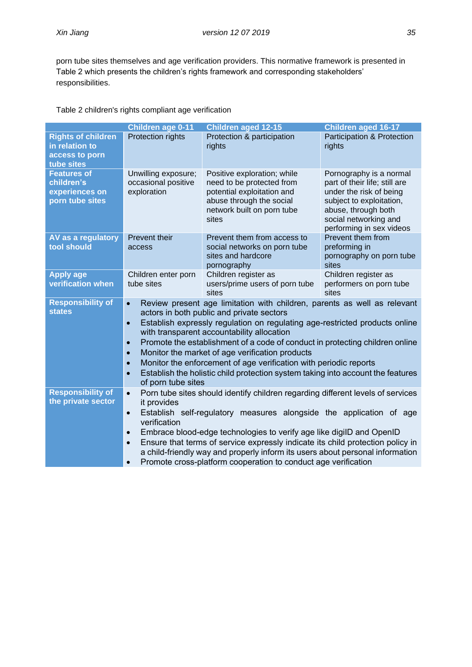porn tube sites themselves and age verification providers. This normative framework is presented in Table 2 which presents the children's rights framework and corresponding stakeholders' responsibilities.

Table 2 children's rights compliant age verification

|                                                                             | Children age 0-11                                                                                                                                                                                                                                                                                                                                                                                                                                                                                                                                                                                                                                 | <b>Children aged 12-15</b>                                                                                                                                | <b>Children aged 16-17</b>                                                                                                                                                                  |  |
|-----------------------------------------------------------------------------|---------------------------------------------------------------------------------------------------------------------------------------------------------------------------------------------------------------------------------------------------------------------------------------------------------------------------------------------------------------------------------------------------------------------------------------------------------------------------------------------------------------------------------------------------------------------------------------------------------------------------------------------------|-----------------------------------------------------------------------------------------------------------------------------------------------------------|---------------------------------------------------------------------------------------------------------------------------------------------------------------------------------------------|--|
| <b>Rights of children</b><br>in relation to<br>access to porn<br>tube sites | <b>Protection rights</b>                                                                                                                                                                                                                                                                                                                                                                                                                                                                                                                                                                                                                          | Protection & participation<br>rights                                                                                                                      | <b>Participation &amp; Protection</b><br>rights                                                                                                                                             |  |
| <b>Features of</b><br>children's<br>experiences on<br>porn tube sites       | Unwilling exposure;<br>occasional positive<br>exploration                                                                                                                                                                                                                                                                                                                                                                                                                                                                                                                                                                                         | Positive exploration; while<br>need to be protected from<br>potential exploitation and<br>abuse through the social<br>network built on porn tube<br>sites | Pornography is a normal<br>part of their life; still are<br>under the risk of being<br>subject to exploitation,<br>abuse, through both<br>social networking and<br>performing in sex videos |  |
| AV as a regulatory<br>tool should                                           | Prevent their<br>access                                                                                                                                                                                                                                                                                                                                                                                                                                                                                                                                                                                                                           | Prevent them from access to<br>social networks on porn tube<br>sites and hardcore<br>pornography                                                          | Prevent them from<br>preforming in<br>pornography on porn tube<br>sites                                                                                                                     |  |
| <b>Apply age</b><br>verification when                                       | Children enter porn<br>tube sites                                                                                                                                                                                                                                                                                                                                                                                                                                                                                                                                                                                                                 | Children register as<br>users/prime users of porn tube<br>sites                                                                                           | Children register as<br>performers on porn tube<br>sites                                                                                                                                    |  |
| <b>Responsibility of</b><br><b>states</b>                                   | Review present age limitation with children, parents as well as relevant<br>$\bullet$<br>actors in both public and private sectors<br>Establish expressly regulation on regulating age-restricted products online<br>$\bullet$<br>with transparent accountability allocation<br>Promote the establishment of a code of conduct in protecting children online<br>$\bullet$<br>Monitor the market of age verification products<br>$\bullet$<br>Monitor the enforcement of age verification with periodic reports<br>$\bullet$<br>Establish the holistic child protection system taking into account the features<br>$\bullet$<br>of porn tube sites |                                                                                                                                                           |                                                                                                                                                                                             |  |
| <b>Responsibility of</b><br>the private sector                              | Porn tube sites should identify children regarding different levels of services<br>$\bullet$<br>it provides<br>Establish self-regulatory measures alongside the application of age<br>$\bullet$<br>verification<br>Embrace blood-edge technologies to verify age like digilD and OpenID<br>$\bullet$<br>Ensure that terms of service expressly indicate its child protection policy in<br>$\bullet$<br>a child-friendly way and properly inform its users about personal information<br>Promote cross-platform cooperation to conduct age verification<br>$\bullet$                                                                               |                                                                                                                                                           |                                                                                                                                                                                             |  |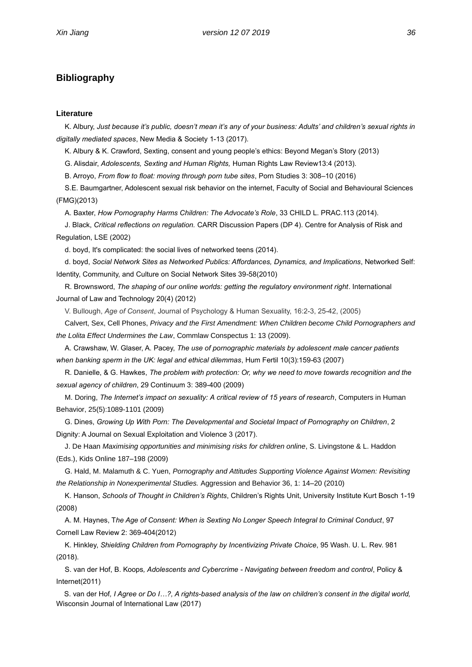### <span id="page-44-0"></span>**Bibliography**

#### **Literature**

K. Albury, *Just because it's public, doesn't mean it's any of your business: Adults' and children's sexual rights in digitally mediated spaces*, New Media & Society 1-13 (2017).

K. Albury & K. Crawford, Sexting, consent and young people's ethics: Beyond Megan's Story (2013)

G. Alisdair, *Adolescents, Sexting and Human Rights,* Human Rights Law Review13:4 (2013).

B. Arroyo, *From flow to float: moving through porn tube sites*, Porn Studies 3: 308–10 (2016)

S.E. Baumgartner, Adolescent sexual risk behavior on the internet, Faculty of Social and Behavioural Sciences (FMG)(2013)

A. Baxter, *How Pornography Harms Children: The Advocate's Role*, 33 CHILD L. PRAC.113 (2014).

J. Black, *Critical reflections on regulation.* CARR Discussion Papers (DP 4). Centre for Analysis of Risk and Regulation, LSE (2002)

d. boyd, It's complicated: the social lives of networked teens (2014).

d. boyd, *Social Network Sites as Networked Publics: Affordances, Dynamics, and Implications*, Networked Self: Identity, Community, and Culture on Social Network Sites 39-58(2010)

R. Brownsword, *The shaping of our online worlds: getting the regulatory environment right*. International Journal of Law and Technology 20(4) (2012)

V. Bullough, *Age of Consent*, Journal of Psychology & Human Sexuality, 16:2-3, 25-42, (2005)

Calvert, Sex, Cell Phones, *Privacy and the First Amendment: When Children become Child Pornographers and the Lolita Effect Undermines the Law*, Commlaw Conspectus 1: 13 (2009).

A. Crawshaw, W. Glaser, A. Pacey, *The use of pornographic materials by adolescent male cancer patients when banking sperm in the UK: legal and ethical dilemmas*, Hum Fertil 10(3):159-63 (2007)

R. Danielle, & G. Hawkes, *The problem with protection: Or, why we need to move towards recognition and the sexual agency of children*, 29 Continuum 3: 389-400 (2009)

M. Doring, *The Internet's impact on sexuality: A critical review of 15 years of research*, Computers in Human Behavior, 25(5):1089-1101 (2009)

G. Dines, *Growing Up With Porn: The Developmental and Societal Impact of Pornography on Children*, 2 Dignity: A Journal on Sexual Exploitation and Violence 3 (2017).

J. De Haan *Maximising opportunities and minimising risks for children online*, S. Livingstone & L. Haddon (Eds.), Kids Online 187–198 (2009)

G. Hald, M. Malamuth & C. Yuen, *Pornography and Attitudes Supporting Violence Against Women: Revisiting the Relationship in Nonexperimental Studies.* Aggression and Behavior 36, 1: 14–20 (2010)

K. Hanson, *Schools of Thought in Children's Rights*, Children's Rights Unit, University Institute Kurt Bosch 1-19 (2008)

A. M. Haynes, T*he Age of Consent: When is Sexting No Longer Speech Integral to Criminal Conduct*, 97 Cornell Law Review 2: 369-404(2012)

K. Hinkley, *Shielding Children from Pornography by Incentivizing Private Choice*, 95 Wash. U. L. Rev. 981 (2018).

S. van der Hof, B. Koops*, Adolescents and Cybercrime - Navigating between freedom and control*, Policy & Internet(2011)

 S. van der Hof*, I Agree or Do I…?, A rights-based analysis of the law on children's consent in the digital world,*  Wisconsin Journal of International Law (2017)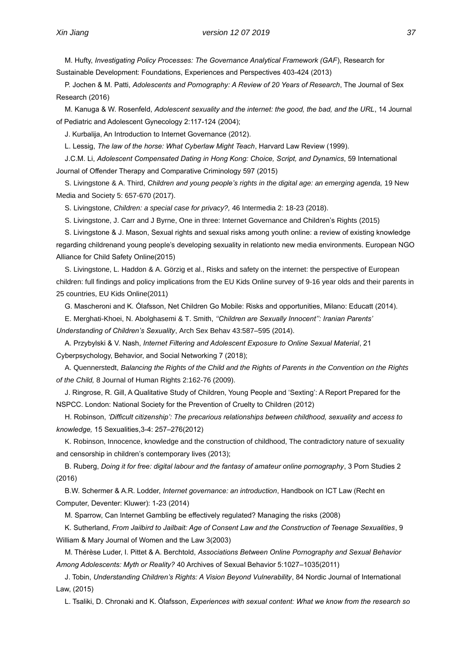M. Hufty, *Investigating Policy Processes: The Governance Analytical Framework (GAF*), Research for Sustainable Development: Foundations, Experiences and Perspectives 403-424 (2013)

P. Jochen & M. Patti, *Adolescents and Pornography: A Review of 20 Years of Research*, The Journal of Sex Research (2016)

M. Kanuga & W. Rosenfeld, *Adolescent sexuality and the internet: the good, the bad, and the URL*, 14 Journal of Pediatric and Adolescent Gynecology 2:117-124 (2004);

J. Kurbalija, An Introduction to Internet Governance (2012).

L. Lessig, *The law of the horse: What Cyberlaw Might Teach*, Harvard Law Review (1999).

J.C.M. Li, *Adolescent Compensated Dating in Hong Kong: Choice, Script, and Dynamics*, 59 International Journal of Offender Therapy and Comparative Criminology 597 (2015)

S. Livingstone & A. Third, *Children and young people's rights in the digital age: an emerging agenda,* 19 New Media and Society 5: 657-670 (2017).

S. Livingstone, *[Children: a special case for privacy?,](http://eprints.lse.ac.uk/89706/)* 46 Intermedia 2: 18-23 (2018).

S. Livingstone, J. Carr and J Byrne, One in three: Internet Governance and Children's Rights (2015)

S. Livingstone & J. Mason, Sexual rights and sexual risks among youth online: a review of existing knowledge regarding childrenand young people's developing sexuality in relationto new media environments. European NGO Alliance for Child Safety Online(2015)

S. Livingstone, L. Haddon & A. Görzig et al., Risks and safety on the internet: the perspective of European children: full findings and policy implications from the EU Kids Online survey of 9-16 year olds and their parents in 25 countries, EU Kids Online(2011)

G. Mascheroni and K. Ólafsson, Net Children Go Mobile: Risks and opportunities, Milano: Educatt (2014).

E. Merghati-Khoei, N. Abolghasemi & T. Smith, *''Children are Sexually Innocent'': Iranian Parents' Understanding of Children's Sexuality*, Arch Sex Behav 43:587–595 (2014).

A. Przybylski & V. Nash, *Internet Filtering and Adolescent Exposure to Online Sexual Material*, 21 Cyberpsychology, Behavior, and Social Networking 7 (2018);

A. Quennerstedt, *Balancing the Rights of the Child and the Rights of Parents in the Convention on the Rights of the Child,* 8 Journal of Human Rights 2:162-76 (2009).

J. Ringrose, R. Gill, A Qualitative Study of Children, Young People and 'Sexting': A Report Prepared for the NSPCC. London: National Society for the Prevention of Cruelty to Children (2012)

H. Robinson, *'Difficult citizenship': The precarious relationships between childhood, sexuality and access to knowledge,* 15 Sexualities,3-4: 257–276(2012)

K. Robinson, Innocence, knowledge and the construction of childhood, The contradictory nature of sexuality and censorship in children's contemporary lives (2013);

B. Ruberg, *Doing it for free: digital labour and the fantasy of amateur online pornography*, 3 Porn Studies 2 (2016)

B.W. Schermer & A.R. Lodder, *Internet governance: an introduction*, Handbook on ICT Law (Recht en Computer, Deventer: Kluwer): 1-23 (2014)

M. Sparrow, Can Internet Gambling be effectively regulated? Managing the risks (2008)

K. Sutherland, *From Jailbird to Jailbait: Age of Consent Law and the Construction of Teenage Sexualities*, 9 William & Mary Journal of Women and the Law 3(2003)

M. Thérèse Luder, I. Pittet & A. Berchtold, *Associations Between Online Pornography and Sexual Behavior Among Adolescents: Myth or Reality?* 40 Archives of Sexual Behavior 5:1027–1035(2011)

J. Tobin, *Understanding Children's Rights: A Vision Beyond Vulnerability*, 84 Nordic Journal of International Law, (2015)

L. Tsaliki, D. Chronaki and K. Ólafsson, *Experiences with sexual content: What we know from the research so*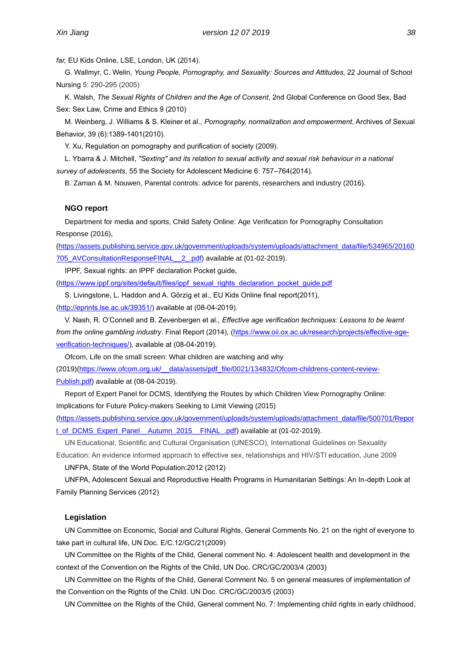*far,* EU Kids Online, LSE, London, UK (2014).

G. Wallmyr, C. Welin, *Young People, Pornography, and Sexuality: Sources and Attitudes*, 22 Journal of School Nursing 5: 290-295 (2005)

K. Walsh, *The Sexual Rights of Children and the Age of Consent*, 2nd Global Conference on Good Sex, Bad Sex: Sex Law, Crime and Ethics 9 (2010)

M. Weinberg, J. Williams & S. Kleiner et al., *Pornography, normalization and empowerment*, Archives of Sexual Behavior, 39 (6):1389-1401(2010).

Y. Xu, Regulation on pornography and purification of society (2009).

L. Ybarra & J. Mitchell, *"Sexting" and its relation to sexual activity and sexual risk behaviour in a national survey of adolescents*, 55 the Society for Adolescent Medicine 6: 757–764(2014).

B. Zaman & M. Nouwen, Parental controls: advice for parents, researchers and industry (2016).

#### **NGO report**

Department for media and sports, Child Safety Online: Age Verification for Pornography Consultation Response (2016),

[\(https://assets.publishing.service.gov.uk/government/uploads/system/uploads/attachment\\_data/file/534965/20160](https://assets.publishing.service.gov.uk/government/uploads/system/uploads/attachment_data/file/534965/20160705_AVConsultationResponseFINAL__2_.pdf) [705\\_AVConsultationResponseFINAL\\_\\_2\\_.pdf\)](https://assets.publishing.service.gov.uk/government/uploads/system/uploads/attachment_data/file/534965/20160705_AVConsultationResponseFINAL__2_.pdf) available at (01-02-2019).

IPPF, Sexual rights: an IPPF declaration Pocket guide,

[\(https://www.ippf.org/sites/default/files/ippf\\_sexual\\_rights\\_declaration\\_pocket\\_guide.pdf](https://www.ippf.org/sites/default/files/ippf_sexual_rights_declaration_pocket_guide.pdf)

S. Livingstone, L. Haddon and A. Görzig et al., EU Kids Online final report(2011),

[\(http://eprints.lse.ac.uk/39351/\)](http://eprints.lse.ac.uk/39351/) available at (08-04-2019).

V. Nash, R. O'Connell and B. Zevenbergen et al., *Effective age verification techniques: Lessons to be learnt from the online gambling industry*. Final Report (2014), [\(https://www.oii.ox.ac.uk/research/projects/effective-age](https://www.oii.ox.ac.uk/research/projects/effective-age-verification-techniques/)[verification-techniques/\)](https://www.oii.ox.ac.uk/research/projects/effective-age-verification-techniques/), available at (08-04-2019).

Ofcom, Life on the small screen: What children are watching and why (2019)[\(https://www.ofcom.org.uk/\\_\\_data/assets/pdf\\_file/0021/134832/Ofcom-childrens-content-review-](https://www.ofcom.org.uk/__data/assets/pdf_file/0021/134832/Ofcom-childrens-content-review-Publish.pdf)[Publish.pdf\)](https://www.ofcom.org.uk/__data/assets/pdf_file/0021/134832/Ofcom-childrens-content-review-Publish.pdf) available at (08-04-2019).

Report of Expert Panel for DCMS, Identifying the Routes by which Children View Pornography Online: Implications for Future Policy-makers Seeking to Limit Viewing (2015)

[\(https://assets.publishing.service.gov.uk/government/uploads/system/uploads/attachment\\_data/file/500701/Repor](https://assets.publishing.service.gov.uk/government/uploads/system/uploads/attachment_data/file/500701/Report_of_DCMS_Expert_Panel__Autumn_2015__FINAL_.pdf) [t\\_of\\_DCMS\\_Expert\\_Panel\\_\\_Autumn\\_2015\\_\\_FINAL\\_.pdf\)](https://assets.publishing.service.gov.uk/government/uploads/system/uploads/attachment_data/file/500701/Report_of_DCMS_Expert_Panel__Autumn_2015__FINAL_.pdf) available at (01-02-2019).

UN Educational, Scientific and Cultural Organisation (UNESCO), International Guidelines on Sexuality Education: An evidence informed approach to effective sex, relationships and HIV/STI education, June 2009

UNFPA, State of the World Population:2012 (2012)

UNFPA, Adolescent Sexual and Reproductive Health Programs in Humanitarian Settings: An In-depth Look at Family Planning Services (2012)

#### **Legislation**

UN Committee on Economic, Social and Cultural Rights, General Comments No. 21 on the right of everyone to take part in cultural life, UN Doc. E/C.12/GC/21(2009)

UN Committee on the Rights of the Child, General comment No. 4: Adolescent health and development in the context of the Convention on the Rights of the Child, UN Doc. CRC/GC/2003/4 (2003)

UN Committee on the Rights of the Child, General Comment No. 5 on general measures of implementation of the Convention on the Rights of the Child. UN Doc. CRC/GC/2003/5 (2003)

UN Committee on the Rights of the Child, General comment No. 7: Implementing child rights in early childhood,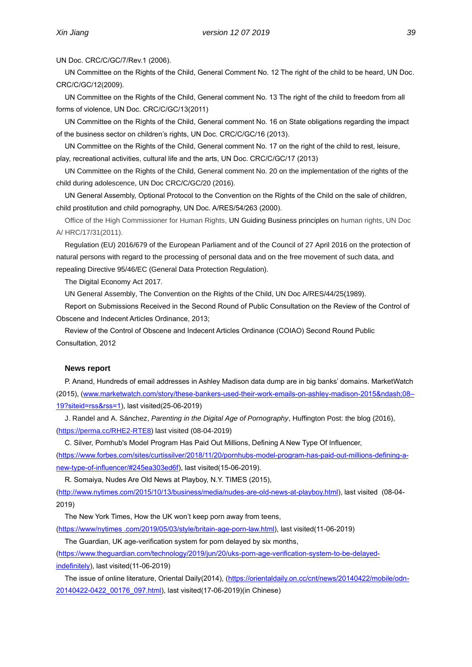UN Doc. CRC/C/GC/7/Rev.1 (2006).

UN Committee on the Rights of the Child, General Comment No. 12 The right of the child to be heard, UN Doc. CRC/C/GC/12(2009).

UN Committee on the Rights of the Child, General comment No. 13 The right of the child to freedom from all forms of violence, UN Doc. CRC/C/GC/13(2011)

UN Committee on the Rights of the Child, General comment No. 16 on State obligations regarding the impact of the business sector on children's rights, UN Doc. CRC/C/GC/16 (2013).

UN Committee on the Rights of the Child, General comment No. 17 on the right of the child to rest, leisure, play, recreational activities, cultural life and the arts, UN Doc. CRC/C/GC/17 (2013)

UN Committee on the Rights of the Child, General comment No. 20 on the implementation of the rights of the child during adolescence, UN Doc CRC/C/GC/20 (2016).

UN General Assembly, Optional Protocol to the Convention on the Rights of the Child on the sale of children, child prostitution and child pornography, UN Doc. A/RES/54/263 (2000).

Office of the High Commissioner for Human Rights, UN Guiding Business principles on human rights, UN Doc A/ HRC/17/31(2011).

Regulation (EU) 2016/679 of the European Parliament and of the Council of 27 April 2016 on the protection of natural persons with regard to the processing of personal data and on the free movement of such data, and repealing Directive 95/46/EC (General Data Protection Regulation).

The Digital Economy Act 2017.

UN General Assembly, The Convention on the Rights of the Child, UN Doc A/RES/44/25(1989).

Report on Submissions Received in the Second Round of Public Consultation on the Review of the Control of Obscene and Indecent Articles Ordinance, 2013;

Review of the Control of Obscene and Indecent Articles Ordinance (COIAO) Second Round Public Consultation, 2012

#### **News report**

P. Anand, Hundreds of email addresses in Ashley Madison data dump are in big banks' domains. MarketWatch (2015), (www.marketwatch.com/story/these-bankers-used-their-work-emails-on-ashley-madison-2015–08-[19?siteid=rss&rss=1\)](http://www.marketwatch.com/story/these-bankers-used-their-work-emails-on-ashley-madison-2015–08–19?siteid=rss&rss=1), last visited(25-06-2019)

J. Randel and A. Sánchez, *Parenting in the Digital Age of Pornography*, Huffington Post: the blog (2016), [\(https://perma.cc/RHE2-RTE8\)](https://perma.cc/RHE2-RTE8) last visited (08-04-2019)

C. Silver, Pornhub's Model Program Has Paid Out Millions, Defining A New Type Of Influencer,

[\(https://www.forbes.com/sites/curtissilver/2018/11/20/pornhubs-model-program-has-paid-out-millions-defining-a](https://www.forbes.com/sites/curtissilver/2018/11/20/pornhubs-model-program-has-paid-out-millions-defining-a-new-type-of-influencer/#245ea303ed6f)[new-type-of-influencer/#245ea303ed6f\)](https://www.forbes.com/sites/curtissilver/2018/11/20/pornhubs-model-program-has-paid-out-millions-defining-a-new-type-of-influencer/#245ea303ed6f), last visited(15-06-2019).

R. Somaiya, Nudes Are Old News at Playboy, N.Y. TIMES (2015),

[\(http://www.nytimes.com/2015/10/13/business/media/nudes-are-old-news-at-playboy.html\)](http://www.nytimes.com/2015/10/13/business/media/nudes-are-old-news-at-playboy.html), last visited (08-04- 2019)

The New York Times, How the UK won't keep porn away from teens, [\(https://www/nytimes .com/2019/05/03/style/britain-age-porn-law.html\)](https://www/nytimes%20.com/2019/05/03/style/britain-age-porn-law.html), last visited(11-06-2019)

The Guardian, UK age-verification system for porn delayed by six months,

[\(https://www.theguardian.com/technology/2019/jun/20/uks-porn-age-verification-system-to-be-delayed](https://www.theguardian.com/technology/2019/jun/20/uks-porn-age-verification-system-to-be-delayed-indefinitely)[indefinitely\)](https://www.theguardian.com/technology/2019/jun/20/uks-porn-age-verification-system-to-be-delayed-indefinitely), last visited(11-06-2019)

The issue of online literature, Oriental Daily(2014), [\(https://orientaldaily.on.cc/cnt/news/20140422/mobile/odn-](https://orientaldaily.on.cc/cnt/news/20140422/mobile/odn-20140422-0422_00176_097.html)[20140422-0422\\_00176\\_097.html\)](https://orientaldaily.on.cc/cnt/news/20140422/mobile/odn-20140422-0422_00176_097.html), last visited(17-06-2019)(in Chinese)